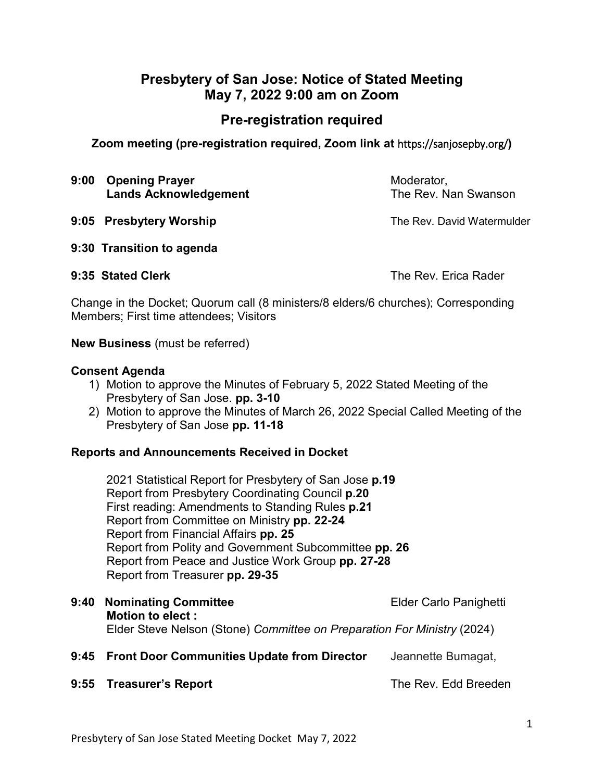# **Presbytery of San Jose: Notice of Stated Meeting May 7, 2022 9:00 am on Zoom**

# **Pre-registration required**

**Zoom meeting (pre-registration required, Zoom link at** https://sanjosepby.org/**)**

- **9:00 Opening Prayer** Moderator, **Lands Acknowledgement The Rev. Nan Swanson**
- **9:05 Presbytery Worship The Rev. David Watermulder**

**9:30 Transition to agenda**

**9:35 Stated Clerk** The Rev. Erica Rader

Change in the Docket; Quorum call (8 ministers/8 elders/6 churches); Corresponding Members; First time attendees; Visitors

**New Business** (must be referred)

#### **Consent Agenda**

- 1) Motion to approve the Minutes of February 5, 2022 Stated Meeting of the Presbytery of San Jose. **pp. 3-10**
- 2) Motion to approve the Minutes of March 26, 2022 Special Called Meeting of the Presbytery of San Jose **pp. 11-18**

## **Reports and Announcements Received in Docket**

2021 Statistical Report for Presbytery of San Jose **p.19** Report from Presbytery Coordinating Council **p.20** First reading: Amendments to Standing Rules **p.21** Report from Committee on Ministry **pp. 22-24** Report from Financial Affairs **pp. 25** Report from Polity and Government Subcommittee **pp. 26** Report from Peace and Justice Work Group **pp. 27-28** Report from Treasurer **pp. 29-35**

- **9:40 Nominating Committee Elder Carlo Panighetti Motion to elect :** Elder Steve Nelson (Stone) *Committee on Preparation For Ministry* (2024)
- **9:45 Front Door Communities Update from Director** Jeannette Bumagat,
- **9:55 Treasurer's Report** The Rev. Edd Breeden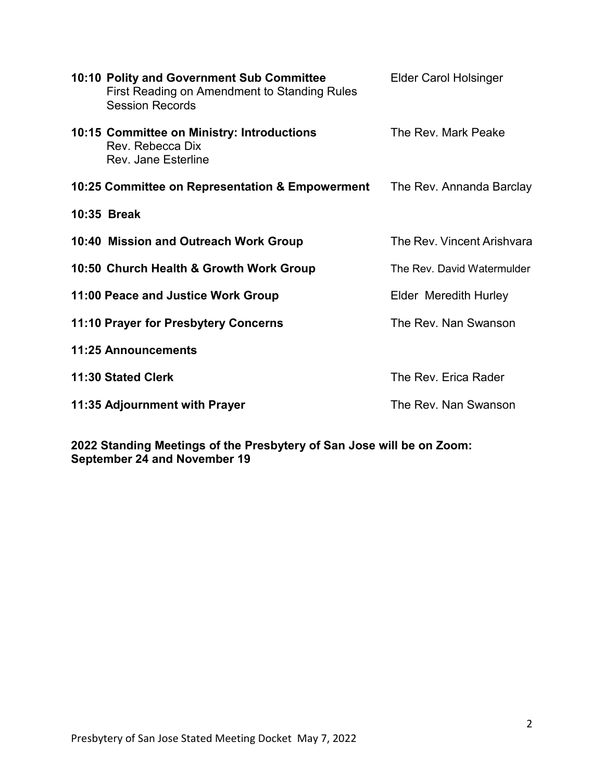| 10:10 Polity and Government Sub Committee<br>First Reading on Amendment to Standing Rules<br><b>Session Records</b> | <b>Elder Carol Holsinger</b> |
|---------------------------------------------------------------------------------------------------------------------|------------------------------|
| 10:15 Committee on Ministry: Introductions<br>Rev. Rebecca Dix<br>Rev. Jane Esterline                               | The Rev. Mark Peake          |
| 10:25 Committee on Representation & Empowerment                                                                     | The Rev. Annanda Barclay     |
| 10:35 Break                                                                                                         |                              |
| 10:40 Mission and Outreach Work Group                                                                               | The Rev. Vincent Arishvara   |
| 10:50 Church Health & Growth Work Group                                                                             | The Rev. David Watermulder   |
| 11:00 Peace and Justice Work Group                                                                                  | Elder Meredith Hurley        |
| 11:10 Prayer for Presbytery Concerns                                                                                | The Rev. Nan Swanson         |
| <b>11:25 Announcements</b>                                                                                          |                              |
| 11:30 Stated Clerk                                                                                                  | The Rev. Erica Rader         |
| 11:35 Adjournment with Prayer                                                                                       | The Rev. Nan Swanson         |

**2022 Standing Meetings of the Presbytery of San Jose will be on Zoom: September 24 and November 19**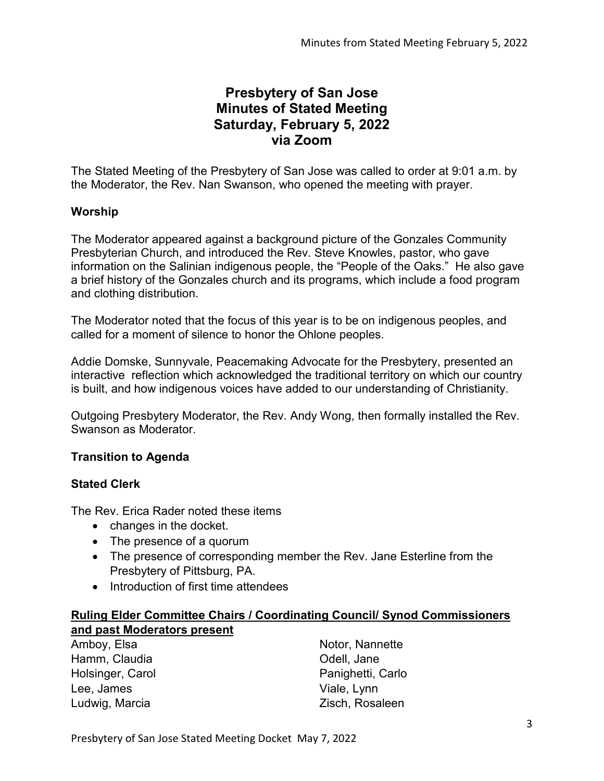# **Presbytery of San Jose Minutes of Stated Meeting Saturday, February 5, 2022 via Zoom**

The Stated Meeting of the Presbytery of San Jose was called to order at 9:01 a.m. by the Moderator, the Rev. Nan Swanson, who opened the meeting with prayer.

# **Worship**

The Moderator appeared against a background picture of the Gonzales Community Presbyterian Church, and introduced the Rev. Steve Knowles, pastor, who gave information on the Salinian indigenous people, the "People of the Oaks." He also gave a brief history of the Gonzales church and its programs, which include a food program and clothing distribution.

The Moderator noted that the focus of this year is to be on indigenous peoples, and called for a moment of silence to honor the Ohlone peoples.

Addie Domske, Sunnyvale, Peacemaking Advocate for the Presbytery, presented an interactive reflection which acknowledged the traditional territory on which our country is built, and how indigenous voices have added to our understanding of Christianity.

Outgoing Presbytery Moderator, the Rev. Andy Wong, then formally installed the Rev. Swanson as Moderator.

## **Transition to Agenda**

## **Stated Clerk**

The Rev. Erica Rader noted these items

- changes in the docket.
- The presence of a quorum
- The presence of corresponding member the Rev. Jane Esterline from the Presbytery of Pittsburg, PA.
- Introduction of first time attendees

## **Ruling Elder Committee Chairs / Coordinating Council/ Synod Commissioners and past Moderators present**

Amboy, Elsa Hamm, Claudia Holsinger, Carol Lee, James Ludwig, Marcia

Notor, Nannette Odell, Jane Panighetti, Carlo Viale, Lynn Zisch, Rosaleen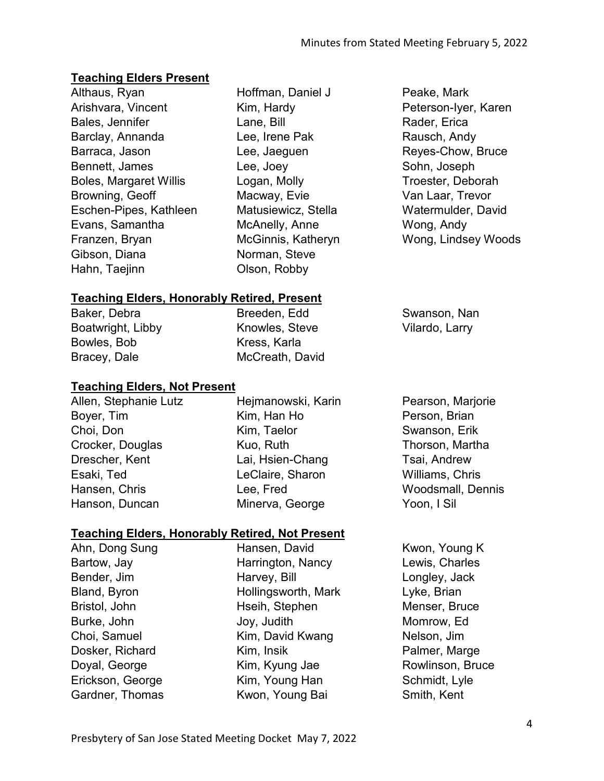# **Teaching Elders Present**

Althaus, Ryan Arishvara, Vincent Bales, Jennifer Barclay, Annanda Barraca, Jason Bennett, James Boles, Margaret Willis Browning, Geoff Eschen-Pipes, Kathleen Evans, Samantha Franzen, Bryan Gibson, Diana Hahn, Taejinn

Hoffman, Daniel J Kim, Hardy Lane, Bill Lee, Irene Pak Lee, Jaeguen Lee, Joey Logan, Molly Macway, Evie Matusiewicz, Stella McAnelly, Anne McGinnis, Katheryn Norman, Steve Olson, Robby

Peake, Mark Peterson-Iyer, Karen Rader, Erica Rausch, Andy Reyes-Chow, Bruce Sohn, Joseph Troester, Deborah Van Laar, Trevor Watermulder, David Wong, Andy Wong, Lindsey Woods

# **Teaching Elders, Honorably Retired, Present**

Baker, Debra Boatwright, Libby Bowles, Bob Bracey, Dale

Breeden, Edd Knowles, Steve Kress, Karla McCreath, David

## **Teaching Elders, Not Present**

Allen, Stephanie Lutz Boyer, Tim Choi, Don Crocker, Douglas Drescher, Kent Esaki, Ted Hansen, Chris Hanson, Duncan

Hejmanowski, Karin Kim, Han Ho Kim, Taelor Kuo, Ruth Lai, Hsien-Chang LeClaire, Sharon Lee, Fred Minerva, George

Pearson, Marjorie Person, Brian Swanson, Erik Thorson, Martha Tsai, Andrew Williams, Chris Woodsmall, Dennis Yoon, I Sil

Swanson, Nan Vilardo, Larry

## **Teaching Elders, Honorably Retired, Not Present**

Ahn, Dong Sung Bartow, Jay Bender, Jim Bland, Byron Bristol, John Burke, John Choi, Samuel Dosker, Richard Doyal, George Erickson, George Gardner, Thomas Hansen, David Harrington, Nancy Harvey, Bill Hollingsworth, Mark Hseih, Stephen Joy, Judith Kim, David Kwang Kim, Insik Kim, Kyung Jae Kim, Young Han Kwon, Young Bai

Kwon, Young K Lewis, Charles Longley, Jack Lyke, Brian Menser, Bruce Momrow, Ed Nelson, Jim Palmer, Marge Rowlinson, Bruce Schmidt, Lyle Smith, Kent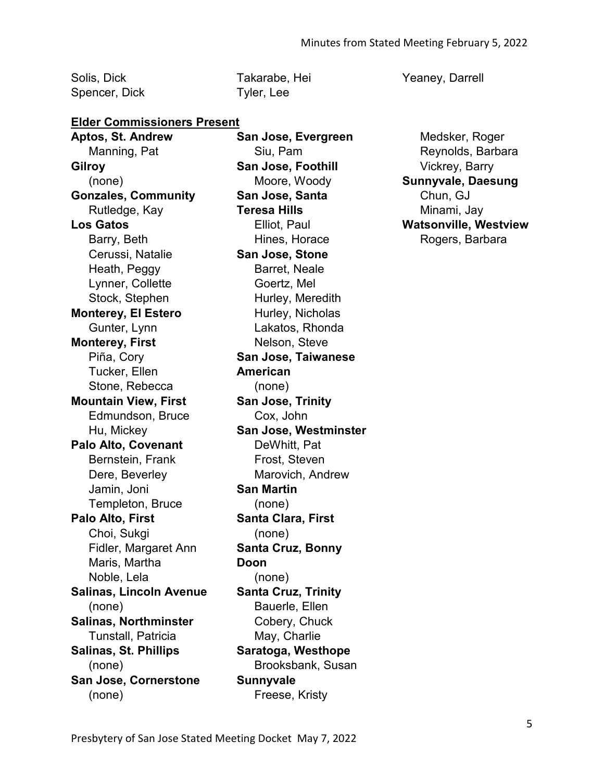Solis, Dick Spencer, Dick Takarabe, Hei Tyler, Lee

#### **Elder Commissioners Present**

**Aptos, St. Andrew**  Manning, Pat **Gilroy**  (none) **Gonzales, Community**  Rutledge, Kay **Los Gatos**  Barry, Beth Cerussi, Natalie Heath, Peggy Lynner, Collette Stock, Stephen **Monterey, El Estero**  Gunter, Lynn **Monterey, First**  Piña, Cory Tucker, Ellen Stone, Rebecca **Mountain View, First**  Edmundson, Bruce Hu, Mickey **Palo Alto, Covenant**  Bernstein, Frank Dere, Beverley Jamin, Joni Templeton, Bruce **Palo Alto, First**  Choi, Sukgi Fidler, Margaret Ann Maris, Martha Noble, Lela **Salinas, Lincoln Avenue**  (none) **Salinas, Northminster**  Tunstall, Patricia **Salinas, St. Phillips**  (none) **San Jose, Cornerstone**  (none)

**San Jose, Evergreen**  Siu, Pam **San Jose, Foothill**  Moore, Woody **San Jose, Santa Teresa Hills**  Elliot, Paul Hines, Horace **San Jose, Stone**  Barret, Neale Goertz, Mel Hurley, Meredith Hurley, Nicholas Lakatos, Rhonda Nelson, Steve **San Jose, Taiwanese American**  (none) **San Jose, Trinity**  Cox, John **San Jose, Westminster**  DeWhitt, Pat Frost, Steven Marovich, Andrew **San Martin**  (none) **Santa Clara, First**  (none) **Santa Cruz, Bonny Doon**  (none) **Santa Cruz, Trinity**  Bauerle, Ellen Cobery, Chuck May, Charlie **Saratoga, Westhope**  Brooksbank, Susan **Sunnyvale**  Freese, Kristy

Yeaney, Darrell

Medsker, Roger Reynolds, Barbara Vickrey, Barry **Sunnyvale, Daesung**  Chun, GJ Minami, Jay **Watsonville, Westview**  Rogers, Barbara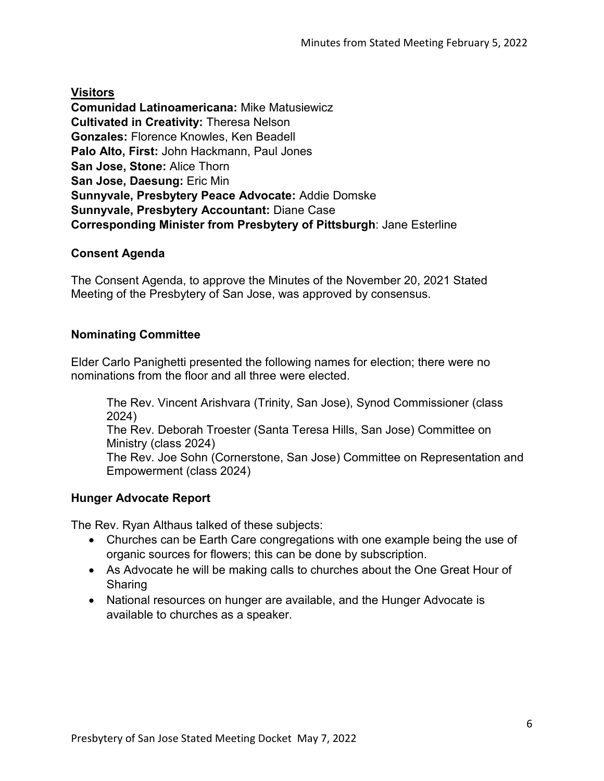**Visitors**

**Comunidad Latinoamericana:** Mike Matusiewicz **Cultivated in Creativity:** Theresa Nelson **Gonzales:** Florence Knowles, Ken Beadell **Palo Alto, First:** John Hackmann, Paul Jones **San Jose, Stone:** Alice Thorn **San Jose, Daesung:** Eric Min **Sunnyvale, Presbytery Peace Advocate:** Addie Domske **Sunnyvale, Presbytery Accountant:** Diane Case **Corresponding Minister from Presbytery of Pittsburgh**: Jane Esterline

# **Consent Agenda**

The Consent Agenda, to approve the Minutes of the November 20, 2021 Stated Meeting of the Presbytery of San Jose, was approved by consensus.

# **Nominating Committee**

Elder Carlo Panighetti presented the following names for election; there were no nominations from the floor and all three were elected.

The Rev. Vincent Arishvara (Trinity, San Jose), Synod Commissioner (class 2024)

The Rev. Deborah Troester (Santa Teresa Hills, San Jose) Committee on Ministry (class 2024)

The Rev. Joe Sohn (Cornerstone, San Jose) Committee on Representation and Empowerment (class 2024)

# **Hunger Advocate Report**

The Rev. Ryan Althaus talked of these subjects:

- Churches can be Earth Care congregations with one example being the use of organic sources for flowers; this can be done by subscription.
- As Advocate he will be making calls to churches about the One Great Hour of Sharing
- National resources on hunger are available, and the Hunger Advocate is available to churches as a speaker.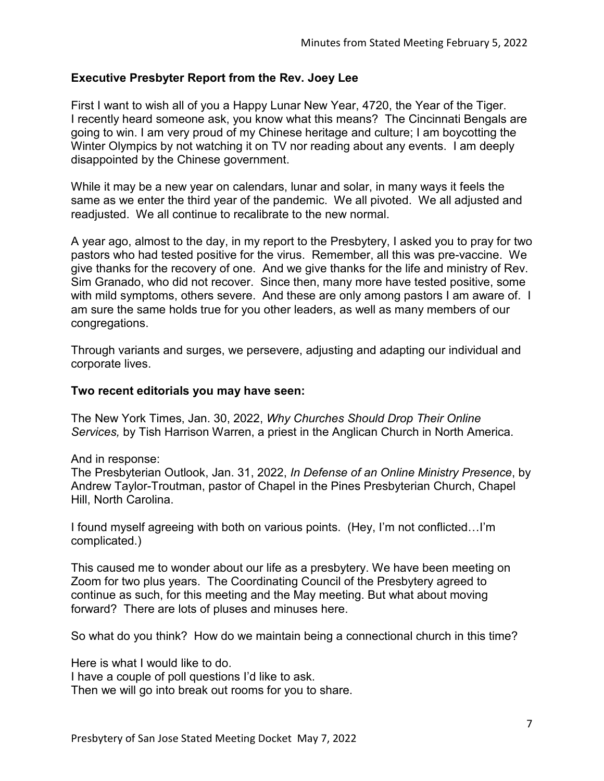## **Executive Presbyter Report from the Rev. Joey Lee**

First I want to wish all of you a Happy Lunar New Year, 4720, the Year of the Tiger. I recently heard someone ask, you know what this means? The Cincinnati Bengals are going to win. I am very proud of my Chinese heritage and culture; I am boycotting the Winter Olympics by not watching it on TV nor reading about any events. I am deeply disappointed by the Chinese government.

While it may be a new year on calendars, lunar and solar, in many ways it feels the same as we enter the third year of the pandemic. We all pivoted. We all adjusted and readjusted. We all continue to recalibrate to the new normal.

A year ago, almost to the day, in my report to the Presbytery, I asked you to pray for two pastors who had tested positive for the virus. Remember, all this was pre-vaccine. We give thanks for the recovery of one. And we give thanks for the life and ministry of Rev. Sim Granado, who did not recover. Since then, many more have tested positive, some with mild symptoms, others severe. And these are only among pastors I am aware of. I am sure the same holds true for you other leaders, as well as many members of our congregations.

Through variants and surges, we persevere, adjusting and adapting our individual and corporate lives.

## **Two recent editorials you may have seen:**

The New York Times, Jan. 30, 2022, *Why Churches Should Drop Their Online Services,* by Tish Harrison Warren, a priest in the Anglican Church in North America.

And in response:

The Presbyterian Outlook, Jan. 31, 2022, *In Defense of an Online Ministry Presence*, by Andrew Taylor-Troutman, pastor of Chapel in the Pines Presbyterian Church, Chapel Hill, North Carolina.

I found myself agreeing with both on various points. (Hey, I'm not conflicted…I'm complicated.)

This caused me to wonder about our life as a presbytery. We have been meeting on Zoom for two plus years. The Coordinating Council of the Presbytery agreed to continue as such, for this meeting and the May meeting. But what about moving forward? There are lots of pluses and minuses here.

So what do you think? How do we maintain being a connectional church in this time?

Here is what I would like to do.

I have a couple of poll questions I'd like to ask.

Then we will go into break out rooms for you to share.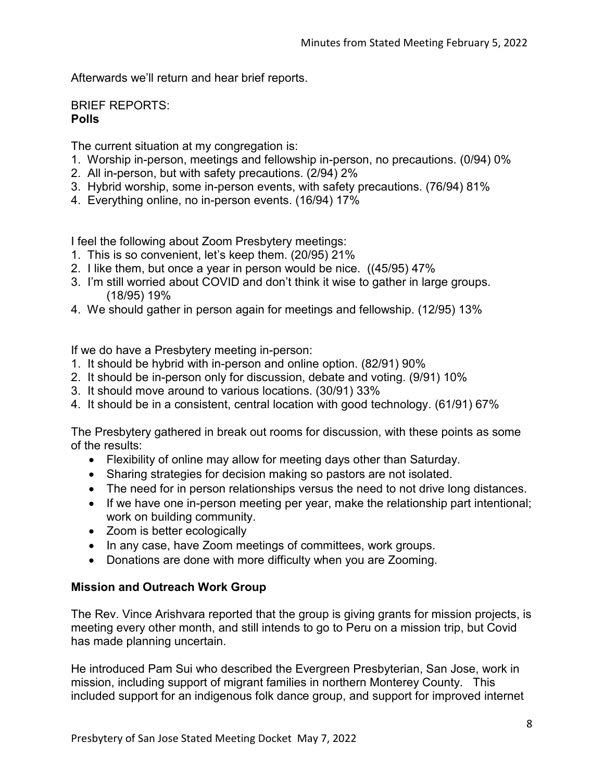Afterwards we'll return and hear brief reports.

BRIEF REPORTS: **Polls**

The current situation at my congregation is:

- 1. Worship in-person, meetings and fellowship in-person, no precautions. (0/94) 0%
- 2. All in-person, but with safety precautions. (2/94) 2%
- 3. Hybrid worship, some in-person events, with safety precautions. (76/94) 81%
- 4. Everything online, no in-person events. (16/94) 17%

I feel the following about Zoom Presbytery meetings:

- 1. This is so convenient, let's keep them. (20/95) 21%
- 2. I like them, but once a year in person would be nice. ((45/95) 47%
- 3. I'm still worried about COVID and don't think it wise to gather in large groups. (18/95) 19%
- 4. We should gather in person again for meetings and fellowship. (12/95) 13%

If we do have a Presbytery meeting in-person:

- 1. It should be hybrid with in-person and online option. (82/91) 90%
- 2. It should be in-person only for discussion, debate and voting. (9/91) 10%
- 3. It should move around to various locations. (30/91) 33%
- 4. It should be in a consistent, central location with good technology. (61/91) 67%

The Presbytery gathered in break out rooms for discussion, with these points as some of the results:

- Flexibility of online may allow for meeting days other than Saturday.
- Sharing strategies for decision making so pastors are not isolated.
- The need for in person relationships versus the need to not drive long distances.
- If we have one in-person meeting per year, make the relationship part intentional; work on building community.
- Zoom is better ecologically
- In any case, have Zoom meetings of committees, work groups.
- Donations are done with more difficulty when you are Zooming.

## **Mission and Outreach Work Group**

The Rev. Vince Arishvara reported that the group is giving grants for mission projects, is meeting every other month, and still intends to go to Peru on a mission trip, but Covid has made planning uncertain.

He introduced Pam Sui who described the Evergreen Presbyterian, San Jose, work in mission, including support of migrant families in northern Monterey County. This included support for an indigenous folk dance group, and support for improved internet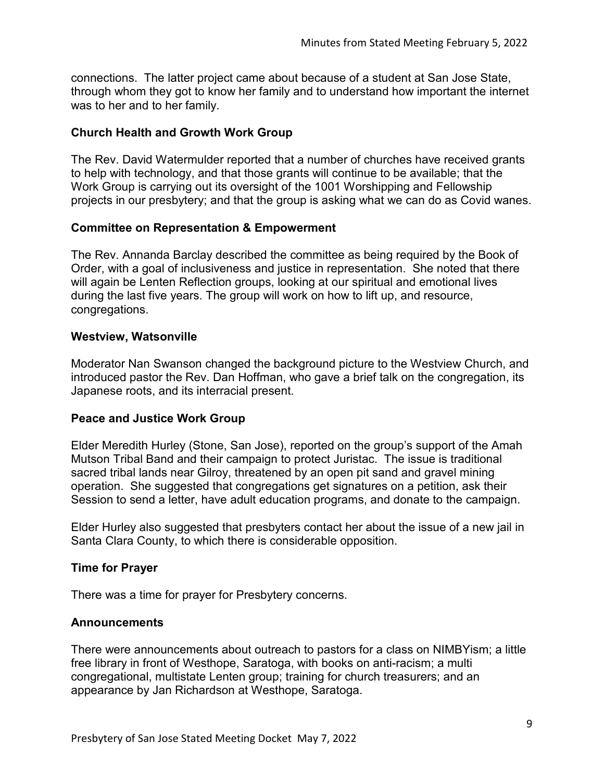connections. The latter project came about because of a student at San Jose State, through whom they got to know her family and to understand how important the internet was to her and to her family.

# **Church Health and Growth Work Group**

The Rev. David Watermulder reported that a number of churches have received grants to help with technology, and that those grants will continue to be available; that the Work Group is carrying out its oversight of the 1001 Worshipping and Fellowship projects in our presbytery; and that the group is asking what we can do as Covid wanes.

# **Committee on Representation & Empowerment**

The Rev. Annanda Barclay described the committee as being required by the Book of Order, with a goal of inclusiveness and justice in representation. She noted that there will again be Lenten Reflection groups, looking at our spiritual and emotional lives during the last five years. The group will work on how to lift up, and resource, congregations.

## **Westview, Watsonville**

Moderator Nan Swanson changed the background picture to the Westview Church, and introduced pastor the Rev. Dan Hoffman, who gave a brief talk on the congregation, its Japanese roots, and its interracial present.

# **Peace and Justice Work Group**

Elder Meredith Hurley (Stone, San Jose), reported on the group's support of the Amah Mutson Tribal Band and their campaign to protect Juristac. The issue is traditional sacred tribal lands near Gilroy, threatened by an open pit sand and gravel mining operation. She suggested that congregations get signatures on a petition, ask their Session to send a letter, have adult education programs, and donate to the campaign.

Elder Hurley also suggested that presbyters contact her about the issue of a new jail in Santa Clara County, to which there is considerable opposition.

## **Time for Prayer**

There was a time for prayer for Presbytery concerns.

## **Announcements**

There were announcements about outreach to pastors for a class on NIMBYism; a little free library in front of Westhope, Saratoga, with books on anti-racism; a multi congregational, multistate Lenten group; training for church treasurers; and an appearance by Jan Richardson at Westhope, Saratoga.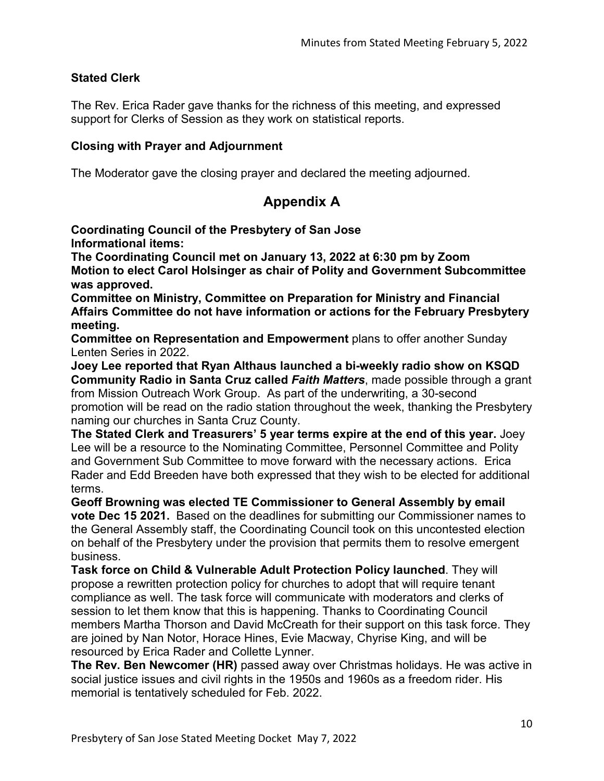# **Stated Clerk**

The Rev. Erica Rader gave thanks for the richness of this meeting, and expressed support for Clerks of Session as they work on statistical reports.

## **Closing with Prayer and Adjournment**

The Moderator gave the closing prayer and declared the meeting adjourned.

# **Appendix A**

**Coordinating Council of the Presbytery of San Jose Informational items:**

**The Coordinating Council met on January 13, 2022 at 6:30 pm by Zoom Motion to elect Carol Holsinger as chair of Polity and Government Subcommittee was approved.**

**Committee on Ministry, Committee on Preparation for Ministry and Financial Affairs Committee do not have information or actions for the February Presbytery meeting.**

**Committee on Representation and Empowerment** plans to offer another Sunday Lenten Series in 2022.

**Joey Lee reported that Ryan Althaus launched a bi-weekly radio show on KSQD Community Radio in Santa Cruz called** *Faith Matters*, made possible through a grant from Mission Outreach Work Group. As part of the underwriting, a 30-second promotion will be read on the radio station throughout the week, thanking the Presbytery naming our churches in Santa Cruz County.

**The Stated Clerk and Treasurers' 5 year terms expire at the end of this year.** Joey Lee will be a resource to the Nominating Committee, Personnel Committee and Polity and Government Sub Committee to move forward with the necessary actions. Erica Rader and Edd Breeden have both expressed that they wish to be elected for additional terms.

**Geoff Browning was elected TE Commissioner to General Assembly by email vote Dec 15 2021.** Based on the deadlines for submitting our Commissioner names to the General Assembly staff, the Coordinating Council took on this uncontested election on behalf of the Presbytery under the provision that permits them to resolve emergent business.

**Task force on Child & Vulnerable Adult Protection Policy launched**. They will propose a rewritten protection policy for churches to adopt that will require tenant compliance as well. The task force will communicate with moderators and clerks of session to let them know that this is happening. Thanks to Coordinating Council members Martha Thorson and David McCreath for their support on this task force. They are joined by Nan Notor, Horace Hines, Evie Macway, Chyrise King, and will be resourced by Erica Rader and Collette Lynner.

**The Rev. Ben Newcomer (HR)** passed away over Christmas holidays. He was active in social justice issues and civil rights in the 1950s and 1960s as a freedom rider. His memorial is tentatively scheduled for Feb. 2022.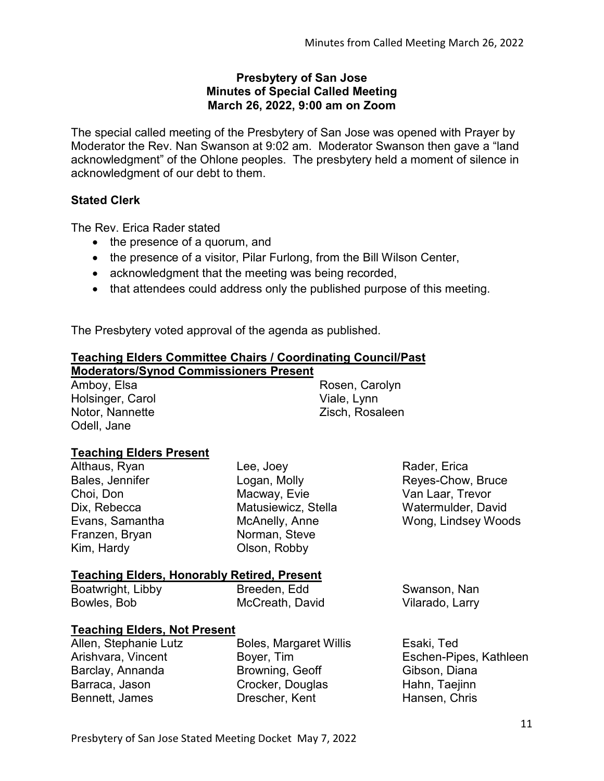#### **Presbytery of San Jose Minutes of Special Called Meeting March 26, 2022, 9:00 am on Zoom**

The special called meeting of the Presbytery of San Jose was opened with Prayer by Moderator the Rev. Nan Swanson at 9:02 am. Moderator Swanson then gave a "land acknowledgment" of the Ohlone peoples. The presbytery held a moment of silence in acknowledgment of our debt to them.

# **Stated Clerk**

The Rev. Erica Rader stated

- the presence of a quorum, and
- the presence of a visitor, Pilar Furlong, from the Bill Wilson Center,
- acknowledgment that the meeting was being recorded,
- that attendees could address only the published purpose of this meeting.

The Presbytery voted approval of the agenda as published.

# **Teaching Elders Committee Chairs / Coordinating Council/Past**

| <b>Moderators/Synod Commissioners Present</b> |                     |                |
|-----------------------------------------------|---------------------|----------------|
| Amboy, Elsa                                   | Rosen, Carolyn      |                |
| Holsinger, Carol                              | Viale, Lynn         |                |
| Notor, Nannette                               | Zisch, Rosaleen     |                |
| Odell, Jane                                   |                     |                |
| <b>Teaching Elders Present</b>                |                     |                |
| Althaus, Ryan                                 | Lee, Joey           | Rader, Erica   |
| Bales, Jennifer                               | Logan, Molly        | Reyes-Chow, I  |
| Choi, Don                                     | Macway, Evie        | Van Laar, Trev |
| Dix, Rebecca                                  | Matusiewicz, Stella | Watermulder, I |

Dix, Rebecca Evans, Samantha Franzen, Bryan Kim, Hardy

McAnelly, Anne Norman, Steve Olson, Robby

Bruce vor, David Wong, Lindsey Woods

Swanson, Nan Vilarado, Larry

# **Teaching Elders, Honorably Retired, Present**

Boatwright, Libby Bowles, Bob

Breeden, Edd McCreath, David

## **Teaching Elders, Not Present**

| Allen, Stephanie Lutz | <b>Boles, Margaret Willis</b> | Esaki, Ted             |
|-----------------------|-------------------------------|------------------------|
| Arishvara, Vincent    | Boyer, Tim                    | Eschen-Pipes, Kathleen |
| Barclay, Annanda      | Browning, Geoff               | Gibson, Diana          |
| Barraca, Jason        | Crocker, Douglas              | Hahn, Taejinn          |
| Bennett, James        | Drescher, Kent                | Hansen, Chris          |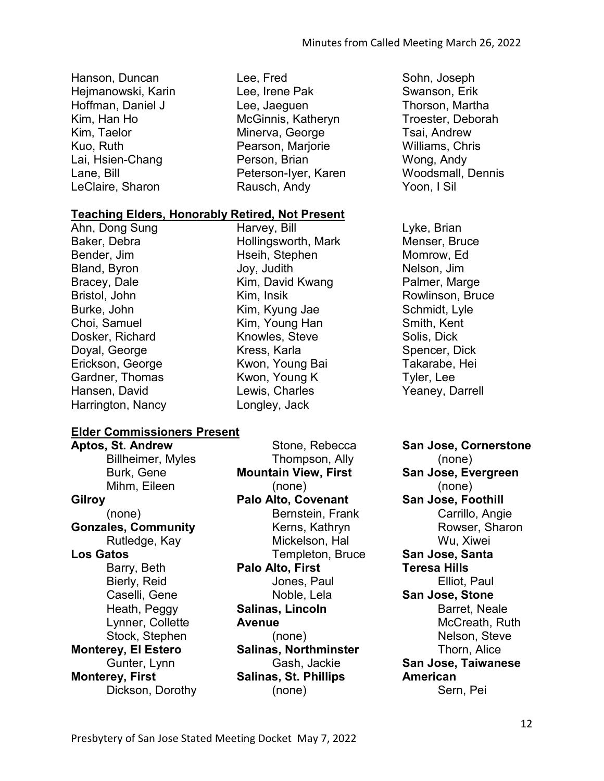- Hanson, Duncan Hejmanowski, Karin Hoffman, Daniel J Kim, Han Ho Kim, Taelor Kuo, Ruth Lai, Hsien-Chang Lane, Bill LeClaire, Sharon
- Lee, Fred Lee, Irene Pak Lee, Jaeguen McGinnis, Katheryn Minerva, George Pearson, Marjorie Person, Brian Peterson-Iyer, Karen Rausch, Andy

Hollingsworth, Mark Hseih, Stephen Joy, Judith

Kim, David Kwang

Kim, Kyung Jae Kim, Young Han Knowles, Steve Kress, Karla Kwon, Young Bai Kwon, Young K Lewis, Charles Longley, Jack

Harvey, Bill

Kim, Insik

#### **Teaching Elders, Honorably Retired, Not Present**

Ahn, Dong Sung Baker, Debra Bender, Jim Bland, Byron Bracey, Dale Bristol, John Burke, John Choi, Samuel Dosker, Richard Doyal, George Erickson, George Gardner, Thomas Hansen, David Harrington, Nancy

#### **Elder Commissioners Present**

**Aptos, St. Andrew**  Billheimer, Myles Burk, Gene Mihm, Eileen **Gilroy**  (none) **Gonzales, Community**  Rutledge, Kay **Los Gatos**  Barry, Beth Bierly, Reid Caselli, Gene Heath, Peggy Lynner, Collette Stock, Stephen **Monterey, El Estero**  Gunter, Lynn **Monterey, First**  Dickson, Dorothy

Stone, Rebecca Thompson, Ally **Mountain View, First**  (none) **Palo Alto, Covenant**  Bernstein, Frank Kerns, Kathryn Mickelson, Hal Templeton, Bruce **Palo Alto, First**  Jones, Paul Noble, Lela **Salinas, Lincoln Avenue**  (none) **Salinas, Northminster**  Gash, Jackie **Salinas, St. Phillips**  (none)

Sohn, Joseph Swanson, Erik Thorson, Martha Troester, Deborah Tsai, Andrew Williams, Chris Wong, Andy Woodsmall, Dennis Yoon, I Sil

Lyke, Brian Menser, Bruce Momrow, Ed Nelson, Jim Palmer, Marge Rowlinson, Bruce Schmidt, Lyle Smith, Kent Solis, Dick Spencer, Dick Takarabe, Hei Tyler, Lee Yeaney, Darrell

**San Jose, Cornerstone**  (none) **San Jose, Evergreen**  (none) **San Jose, Foothill**  Carrillo, Angie Rowser, Sharon Wu, Xiwei **San Jose, Santa Teresa Hills**  Elliot, Paul **San Jose, Stone**  Barret, Neale McCreath, Ruth Nelson, Steve Thorn, Alice **San Jose, Taiwanese American**  Sern, Pei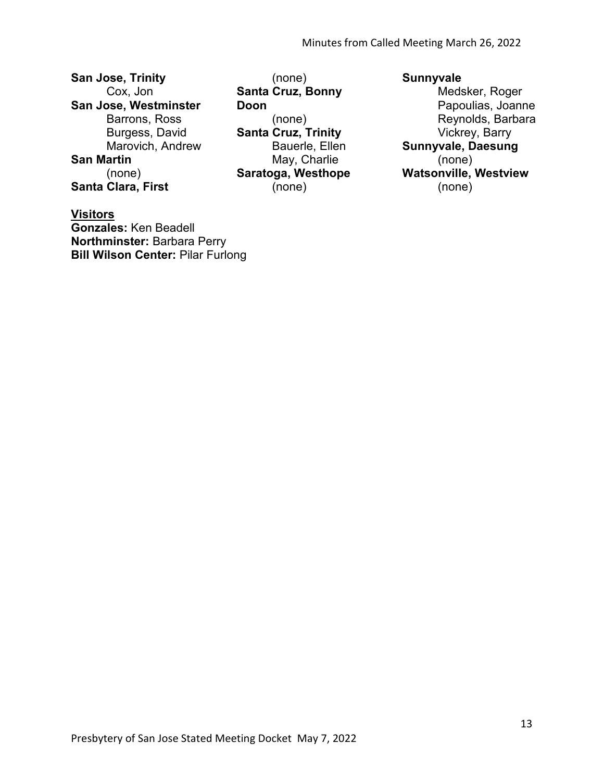**San Jose, Trinity**  Cox, Jon **San Jose, Westminster**  Barrons, Ross Burgess, David Marovich, Andrew **San Martin**  (none) **Santa Clara, First** 

**Visitors Gonzales:** Ken Beadell **Northminster:** Barbara Perry **Bill Wilson Center:** Pilar Furlong

(none) **Santa Cruz, Bonny Doon**  (none) **Santa Cruz, Trinity**  Bauerle, Ellen May, Charlie **Saratoga, Westhope**  (none)

# **Sunnyvale**

Medsker, Roger Papoulias, Joanne Reynolds, Barbara Vickrey, Barry **Sunnyvale, Daesung**  (none) **Watsonville, Westview**  (none)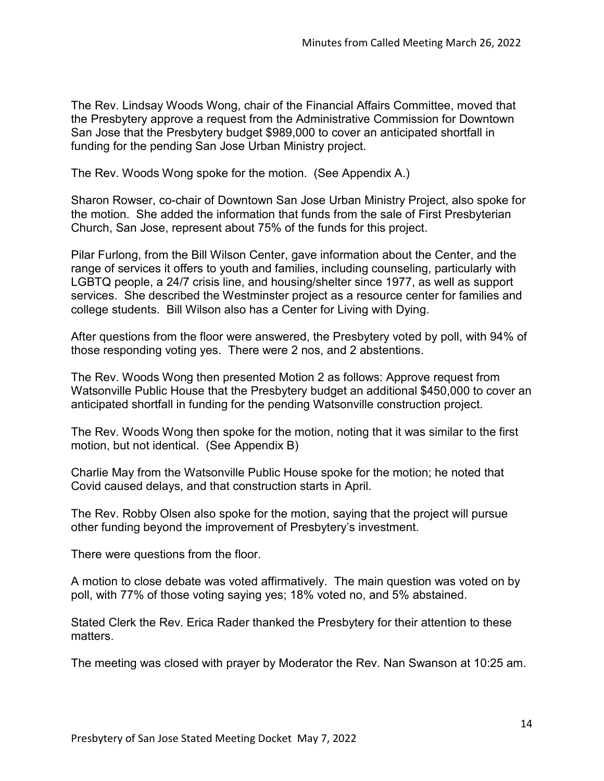The Rev. Lindsay Woods Wong, chair of the Financial Affairs Committee, moved that the Presbytery approve a request from the Administrative Commission for Downtown San Jose that the Presbytery budget \$989,000 to cover an anticipated shortfall in funding for the pending San Jose Urban Ministry project.

The Rev. Woods Wong spoke for the motion. (See Appendix A.)

Sharon Rowser, co-chair of Downtown San Jose Urban Ministry Project, also spoke for the motion. She added the information that funds from the sale of First Presbyterian Church, San Jose, represent about 75% of the funds for this project.

Pilar Furlong, from the Bill Wilson Center, gave information about the Center, and the range of services it offers to youth and families, including counseling, particularly with LGBTQ people, a 24/7 crisis line, and housing/shelter since 1977, as well as support services. She described the Westminster project as a resource center for families and college students. Bill Wilson also has a Center for Living with Dying.

After questions from the floor were answered, the Presbytery voted by poll, with 94% of those responding voting yes. There were 2 nos, and 2 abstentions.

The Rev. Woods Wong then presented Motion 2 as follows: Approve request from Watsonville Public House that the Presbytery budget an additional \$450,000 to cover an anticipated shortfall in funding for the pending Watsonville construction project.

The Rev. Woods Wong then spoke for the motion, noting that it was similar to the first motion, but not identical. (See Appendix B)

Charlie May from the Watsonville Public House spoke for the motion; he noted that Covid caused delays, and that construction starts in April.

The Rev. Robby Olsen also spoke for the motion, saying that the project will pursue other funding beyond the improvement of Presbytery's investment.

There were questions from the floor.

A motion to close debate was voted affirmatively. The main question was voted on by poll, with 77% of those voting saying yes; 18% voted no, and 5% abstained.

Stated Clerk the Rev. Erica Rader thanked the Presbytery for their attention to these matters.

The meeting was closed with prayer by Moderator the Rev. Nan Swanson at 10:25 am.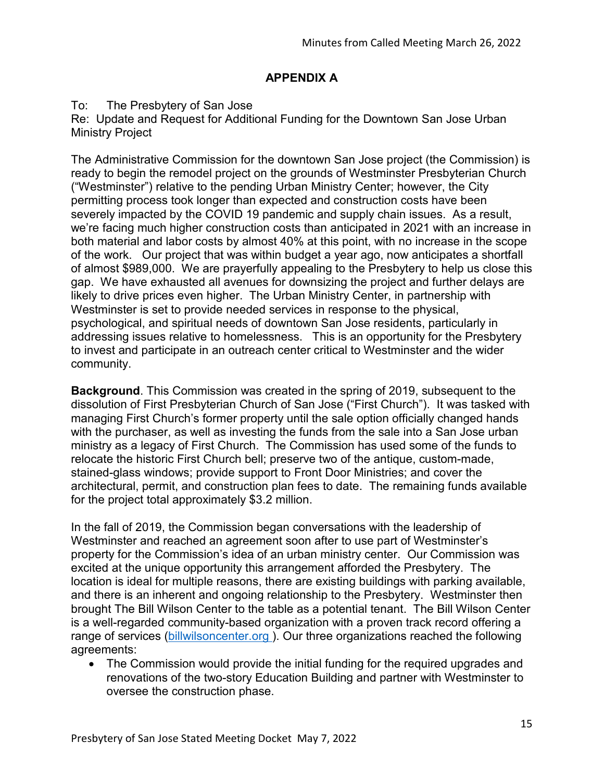# **APPENDIX A**

### To: The Presbytery of San Jose

Re: Update and Request for Additional Funding for the Downtown San Jose Urban Ministry Project

The Administrative Commission for the downtown San Jose project (the Commission) is ready to begin the remodel project on the grounds of Westminster Presbyterian Church ("Westminster") relative to the pending Urban Ministry Center; however, the City permitting process took longer than expected and construction costs have been severely impacted by the COVID 19 pandemic and supply chain issues. As a result, we're facing much higher construction costs than anticipated in 2021 with an increase in both material and labor costs by almost 40% at this point, with no increase in the scope of the work. Our project that was within budget a year ago, now anticipates a shortfall of almost \$989,000. We are prayerfully appealing to the Presbytery to help us close this gap. We have exhausted all avenues for downsizing the project and further delays are likely to drive prices even higher. The Urban Ministry Center, in partnership with Westminster is set to provide needed services in response to the physical, psychological, and spiritual needs of downtown San Jose residents, particularly in addressing issues relative to homelessness. This is an opportunity for the Presbytery to invest and participate in an outreach center critical to Westminster and the wider community.

**Background**. This Commission was created in the spring of 2019, subsequent to the dissolution of First Presbyterian Church of San Jose ("First Church"). It was tasked with managing First Church's former property until the sale option officially changed hands with the purchaser, as well as investing the funds from the sale into a San Jose urban ministry as a legacy of First Church. The Commission has used some of the funds to relocate the historic First Church bell; preserve two of the antique, custom-made, stained-glass windows; provide support to Front Door Ministries; and cover the architectural, permit, and construction plan fees to date. The remaining funds available for the project total approximately \$3.2 million.

In the fall of 2019, the Commission began conversations with the leadership of Westminster and reached an agreement soon after to use part of Westminster's property for the Commission's idea of an urban ministry center. Our Commission was excited at the unique opportunity this arrangement afforded the Presbytery. The location is ideal for multiple reasons, there are existing buildings with parking available, and there is an inherent and ongoing relationship to the Presbytery. Westminster then brought The Bill Wilson Center to the table as a potential tenant. The Bill Wilson Center is a well-regarded community-based organization with a proven track record offering a range of services [\(billwilsoncenter.org \)](http://billwilsoncenter.org/). Our three organizations reached the following agreements:

• The Commission would provide the initial funding for the required upgrades and renovations of the two-story Education Building and partner with Westminster to oversee the construction phase.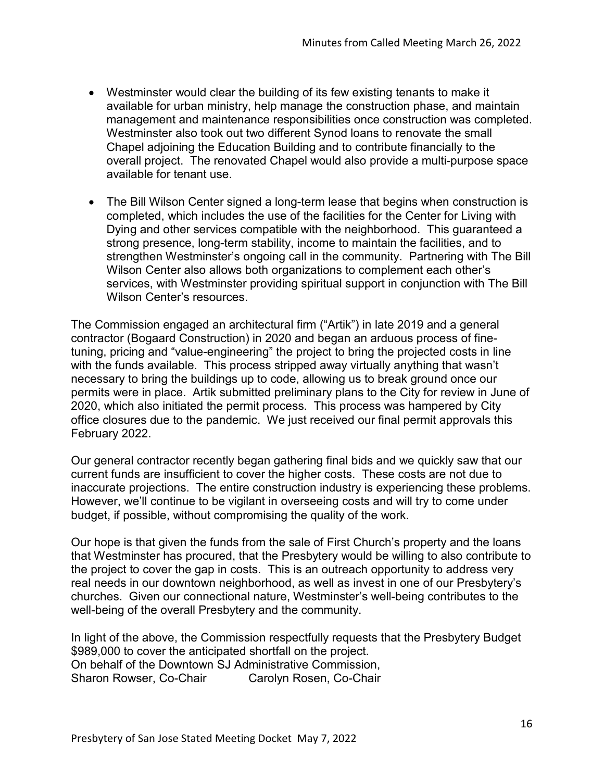- Westminster would clear the building of its few existing tenants to make it available for urban ministry, help manage the construction phase, and maintain management and maintenance responsibilities once construction was completed. Westminster also took out two different Synod loans to renovate the small Chapel adjoining the Education Building and to contribute financially to the overall project. The renovated Chapel would also provide a multi-purpose space available for tenant use.
- The Bill Wilson Center signed a long-term lease that begins when construction is completed, which includes the use of the facilities for the Center for Living with Dying and other services compatible with the neighborhood. This guaranteed a strong presence, long-term stability, income to maintain the facilities, and to strengthen Westminster's ongoing call in the community. Partnering with The Bill Wilson Center also allows both organizations to complement each other's services, with Westminster providing spiritual support in conjunction with The Bill Wilson Center's resources.

The Commission engaged an architectural firm ("Artik") in late 2019 and a general contractor (Bogaard Construction) in 2020 and began an arduous process of finetuning, pricing and "value-engineering" the project to bring the projected costs in line with the funds available. This process stripped away virtually anything that wasn't necessary to bring the buildings up to code, allowing us to break ground once our permits were in place. Artik submitted preliminary plans to the City for review in June of 2020, which also initiated the permit process. This process was hampered by City office closures due to the pandemic. We just received our final permit approvals this February 2022.

Our general contractor recently began gathering final bids and we quickly saw that our current funds are insufficient to cover the higher costs. These costs are not due to inaccurate projections. The entire construction industry is experiencing these problems. However, we'll continue to be vigilant in overseeing costs and will try to come under budget, if possible, without compromising the quality of the work.

Our hope is that given the funds from the sale of First Church's property and the loans that Westminster has procured, that the Presbytery would be willing to also contribute to the project to cover the gap in costs. This is an outreach opportunity to address very real needs in our downtown neighborhood, as well as invest in one of our Presbytery's churches. Given our connectional nature, Westminster's well-being contributes to the well-being of the overall Presbytery and the community.

In light of the above, the Commission respectfully requests that the Presbytery Budget \$989,000 to cover the anticipated shortfall on the project. On behalf of the Downtown SJ Administrative Commission, Sharon Rowser, Co-Chair Carolyn Rosen, Co-Chair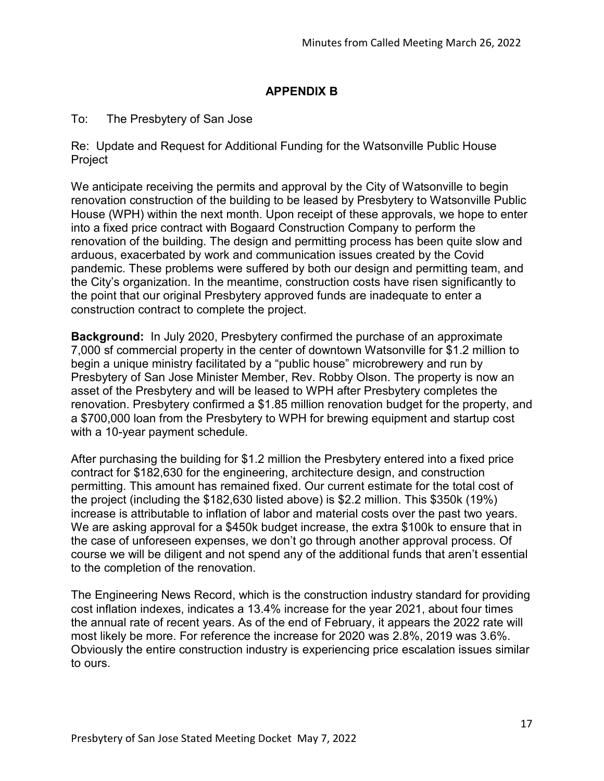# **APPENDIX B**

## To: The Presbytery of San Jose

Re: Update and Request for Additional Funding for the Watsonville Public House Project

We anticipate receiving the permits and approval by the City of Watsonville to begin renovation construction of the building to be leased by Presbytery to Watsonville Public House (WPH) within the next month. Upon receipt of these approvals, we hope to enter into a fixed price contract with Bogaard Construction Company to perform the renovation of the building. The design and permitting process has been quite slow and arduous, exacerbated by work and communication issues created by the Covid pandemic. These problems were suffered by both our design and permitting team, and the City's organization. In the meantime, construction costs have risen significantly to the point that our original Presbytery approved funds are inadequate to enter a construction contract to complete the project.

**Background:** In July 2020, Presbytery confirmed the purchase of an approximate 7,000 sf commercial property in the center of downtown Watsonville for \$1.2 million to begin a unique ministry facilitated by a "public house" microbrewery and run by Presbytery of San Jose Minister Member, Rev. Robby Olson. The property is now an asset of the Presbytery and will be leased to WPH after Presbytery completes the renovation. Presbytery confirmed a \$1.85 million renovation budget for the property, and a \$700,000 loan from the Presbytery to WPH for brewing equipment and startup cost with a 10-year payment schedule.

After purchasing the building for \$1.2 million the Presbytery entered into a fixed price contract for \$182,630 for the engineering, architecture design, and construction permitting. This amount has remained fixed. Our current estimate for the total cost of the project (including the \$182,630 listed above) is \$2.2 million. This \$350k (19%) increase is attributable to inflation of labor and material costs over the past two years. We are asking approval for a \$450k budget increase, the extra \$100k to ensure that in the case of unforeseen expenses, we don't go through another approval process. Of course we will be diligent and not spend any of the additional funds that aren't essential to the completion of the renovation.

The Engineering News Record, which is the construction industry standard for providing cost inflation indexes, indicates a 13.4% increase for the year 2021, about four times the annual rate of recent years. As of the end of February, it appears the 2022 rate will most likely be more. For reference the increase for 2020 was 2.8%, 2019 was 3.6%. Obviously the entire construction industry is experiencing price escalation issues similar to ours.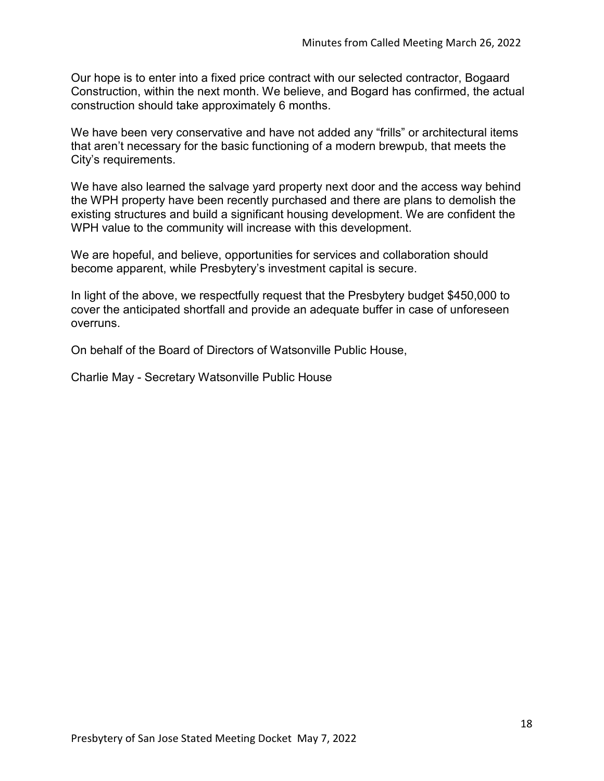Our hope is to enter into a fixed price contract with our selected contractor, Bogaard Construction, within the next month. We believe, and Bogard has confirmed, the actual construction should take approximately 6 months.

We have been very conservative and have not added any "frills" or architectural items that aren't necessary for the basic functioning of a modern brewpub, that meets the City's requirements.

We have also learned the salvage yard property next door and the access way behind the WPH property have been recently purchased and there are plans to demolish the existing structures and build a significant housing development. We are confident the WPH value to the community will increase with this development.

We are hopeful, and believe, opportunities for services and collaboration should become apparent, while Presbytery's investment capital is secure.

In light of the above, we respectfully request that the Presbytery budget \$450,000 to cover the anticipated shortfall and provide an adequate buffer in case of unforeseen overruns.

On behalf of the Board of Directors of Watsonville Public House,

Charlie May - Secretary Watsonville Public House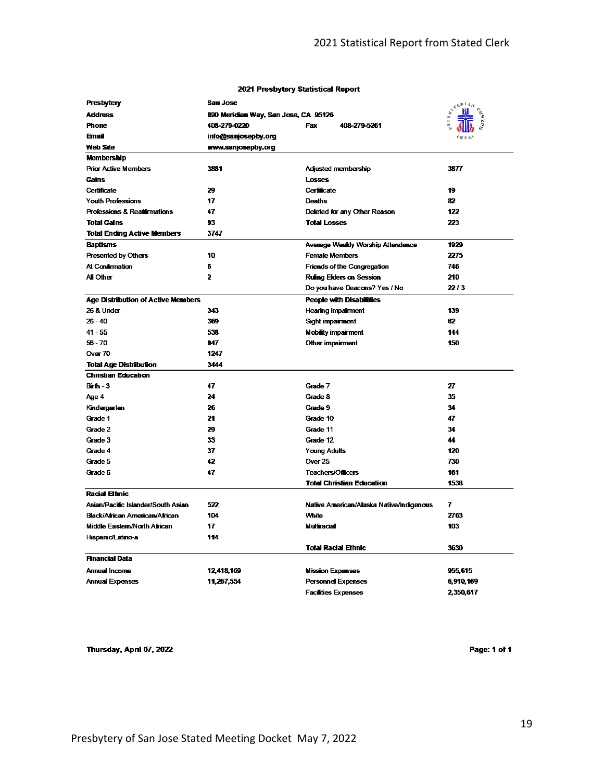| Presbytery                                | San Jose                             | $\boldsymbol{\hat{\lambda}}^{\boldsymbol{\hat{\lambda}}^{\boldsymbol{\hat{\lambda}}^{\boldsymbol{\hat{\mu}}}}\parallel\boldsymbol{\hat{\mu}}^{\boldsymbol{\hat{\mu}}}}$ |           |
|-------------------------------------------|--------------------------------------|-------------------------------------------------------------------------------------------------------------------------------------------------------------------------|-----------|
| <b>Address</b>                            | 890 Meridian Way, San Jose, CA 95126 |                                                                                                                                                                         |           |
| <b>Phone</b>                              | 408-279-0220                         | Fax<br>408-279-5261                                                                                                                                                     |           |
| <b>Email</b>                              | info@sanjosepby.org                  |                                                                                                                                                                         |           |
| <b>Web Site</b>                           | www.sanjosepby.org                   |                                                                                                                                                                         |           |
| Membership                                |                                      |                                                                                                                                                                         |           |
| <b>Prior Active Members</b>               | 3881                                 | Adjusted membership                                                                                                                                                     | 3877      |
| <b>Gains</b>                              |                                      | <b>Losses</b>                                                                                                                                                           |           |
| Certificate                               | 29                                   | Certificate                                                                                                                                                             | 19        |
| <b>Youth Professions</b>                  | 17                                   | Deaths                                                                                                                                                                  | 82        |
| <b>Professions &amp; Reaffirmations</b>   | 47                                   | Deleted for any Other Reason                                                                                                                                            | 122       |
| <b>Total Gains</b>                        | 93                                   | <b>Total Losses</b>                                                                                                                                                     | 223       |
| <b>Total Ending Active Members</b>        | 3747                                 |                                                                                                                                                                         |           |
| <b>Baptisms</b>                           |                                      | Average Weekly Worship Attendance                                                                                                                                       | 1929      |
| <b>Presented by Others</b>                | 10                                   | Female Members                                                                                                                                                          | 2275      |
| At Confirmation                           | 6                                    | <b>Friends of the Congregation</b>                                                                                                                                      | 746       |
| <b>All Other</b>                          | 2                                    | Rulling Elders on Session                                                                                                                                               | 210       |
|                                           |                                      | Do you have Deacons? Yes / No                                                                                                                                           | 22/3      |
| <b>Age Distribution of Active Members</b> |                                      | <b>People with Disabilities</b>                                                                                                                                         |           |
| <b>25 &amp; Under</b>                     | 343                                  | Hearing impairment                                                                                                                                                      | 139       |
| $26 - 40$                                 | 369                                  | Sight impairment                                                                                                                                                        | 62        |
| $41 - 55$                                 | 538                                  | <b>Mobility impairment</b>                                                                                                                                              | 144       |
| $56 - 70$                                 | 947                                  | Other impairment                                                                                                                                                        | 150       |
| Over 70                                   | 1247                                 |                                                                                                                                                                         |           |
| <b>Total Age Distribution</b>             | 3444                                 |                                                                                                                                                                         |           |
| <b>Christian Education</b>                |                                      |                                                                                                                                                                         |           |
| $B$ irth - $3$                            | 47                                   | Grade 7                                                                                                                                                                 | 27        |
| Age 4                                     | 24                                   | Grade 8                                                                                                                                                                 | 35        |
| Kindergarten                              | 26                                   | Grade 9                                                                                                                                                                 | 34        |
| Grade 1                                   | 21                                   | Grade 10                                                                                                                                                                | 47        |
| Grade 2                                   | 29                                   | Grade 11                                                                                                                                                                | 34        |
| Grade 3                                   | 33                                   | Grade 12                                                                                                                                                                | 44        |
| Grade 4                                   | 37                                   | Young Adults                                                                                                                                                            | 120       |
| Grade 5                                   | 42                                   | <b>Over 25</b>                                                                                                                                                          | 730       |
| Grade 6                                   | 47                                   | Teachers/Officers                                                                                                                                                       | 161       |
|                                           |                                      | <b>Total Christian Education</b>                                                                                                                                        | 1538      |
| <b>Racial Ethnic</b>                      |                                      |                                                                                                                                                                         |           |
| Asian/Pacific Islander/South Asian        | 522                                  | Native American/Alaska Native/Indigenous                                                                                                                                | 7         |
| Black/African American/African            | 104                                  | White                                                                                                                                                                   | 2763      |
| Middle Eastern/North African              | 17                                   | Multiracial                                                                                                                                                             | 103       |
| Hispanic/Latino-a                         | 114                                  |                                                                                                                                                                         |           |
|                                           |                                      | <b>Total Racial Ethnic</b>                                                                                                                                              | 3630      |
| <b>Financial Data</b>                     |                                      |                                                                                                                                                                         |           |
| Annual Income                             | 12,418,169                           | <b>Mission Expenses</b>                                                                                                                                                 | 955,615   |
| <b>Annual Expenses</b>                    | 11,267,554                           | <b>Personnel Expenses</b>                                                                                                                                               | 6,910,169 |
|                                           |                                      | <b>Facilities Expenses</b>                                                                                                                                              | 2.350.617 |

#### 2021 Presbytery Statistical Report

Thursday, April 07, 2022

Page: 1 of 1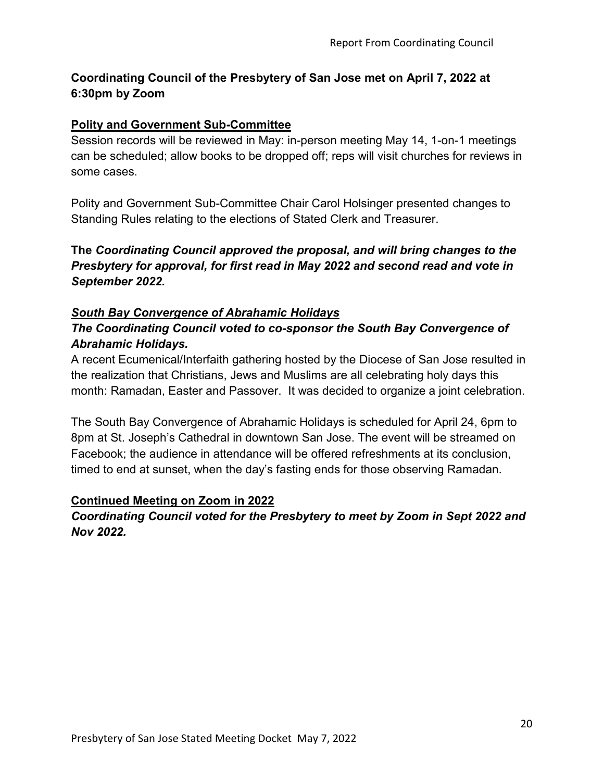# **Coordinating Council of the Presbytery of San Jose met on April 7, 2022 at 6:30pm by Zoom**

# **Polity and Government Sub-Committee**

Session records will be reviewed in May: in-person meeting May 14, 1-on-1 meetings can be scheduled; allow books to be dropped off; reps will visit churches for reviews in some cases.

Polity and Government Sub-Committee Chair Carol Holsinger presented changes to Standing Rules relating to the elections of Stated Clerk and Treasurer.

**The** *Coordinating Council approved the proposal, and will bring changes to the Presbytery for approval, for first read in May 2022 and second read and vote in September 2022.* 

## *South Bay Convergence of Abrahamic Holidays*

# *The Coordinating Council voted to co-sponsor the South Bay Convergence of Abrahamic Holidays.*

A recent Ecumenical/Interfaith gathering hosted by the Diocese of San Jose resulted in the realization that Christians, Jews and Muslims are all celebrating holy days this month: Ramadan, Easter and Passover. It was decided to organize a joint celebration.

The South Bay Convergence of Abrahamic Holidays is scheduled for April 24, 6pm to 8pm at St. Joseph's Cathedral in downtown San Jose. The event will be streamed on Facebook; the audience in attendance will be offered refreshments at its conclusion, timed to end at sunset, when the day's fasting ends for those observing Ramadan.

# **Continued Meeting on Zoom in 2022**

*Coordinating Council voted for the Presbytery to meet by Zoom in Sept 2022 and Nov 2022.*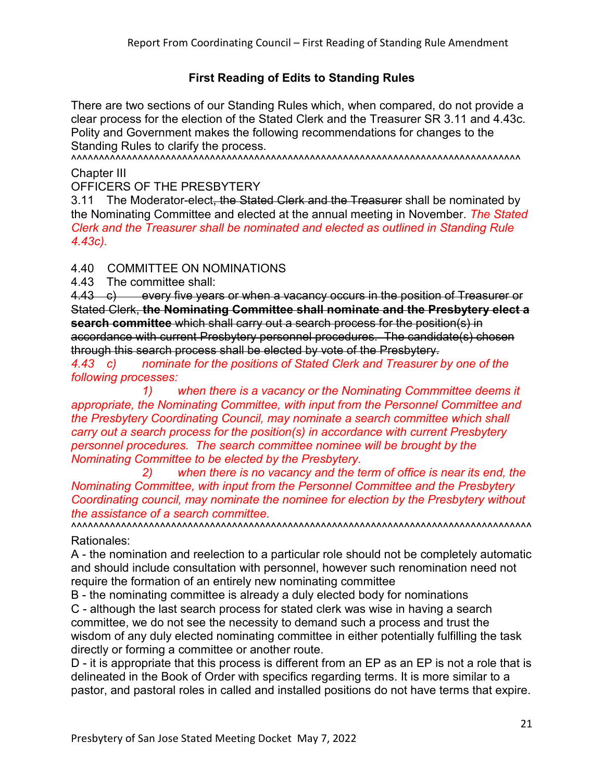# **First Reading of Edits to Standing Rules**

There are two sections of our Standing Rules which, when compared, do not provide a clear process for the election of the Stated Clerk and the Treasurer SR 3.11 and 4.43c. Polity and Government makes the following recommendations for changes to the Standing Rules to clarify the process.

^^^^^^^^^^^^^^^^^^^^^^^^^^^^^^^^^^^^^^^^^^^^^^^^^^^^^^^^^^^^^^^^^^^^^^^^^^^^^^^^^

Chapter III

OFFICERS OF THE PRESBYTERY

3.11 The Moderator-elect, the Stated Clerk and the Treasurer shall be nominated by the Nominating Committee and elected at the annual meeting in November. *The Stated Clerk and the Treasurer shall be nominated and elected as outlined in Standing Rule 4.43c).*

4.40 COMMITTEE ON NOMINATIONS

4.43 The committee shall:

4.43 c) every five years or when a vacancy occurs in the position of Treasurer or Stated Clerk, **the Nominating Committee shall nominate and the Presbytery elect a search committee** which shall carry out a search process for the position(s) in accordance with current Presbytery personnel procedures. The candidate(s) chosen through this search process shall be elected by vote of the Presbytery.

*4.43 c) nominate for the positions of Stated Clerk and Treasurer by one of the following processes:*

*1) when there is a vacancy or the Nominating Commmittee deems it appropriate, the Nominating Committee, with input from the Personnel Committee and the Presbytery Coordinating Council, may nominate a search committee which shall carry out a search process for the position(s) in accordance with current Presbytery personnel procedures. The search committee nominee will be brought by the Nominating Committee to be elected by the Presbytery.*

*2) when there is no vacancy and the term of office is near its end, the Nominating Committee, with input from the Personnel Committee and the Presbytery Coordinating council, may nominate the nominee for election by the Presbytery without the assistance of a search committee.*

^^^^^^^^^^^^^^^^^^^^^^^^^^^^^^^^^^^^^^^^^^^^^^^^^^^^^^^^^^^^^^^^^^^^^^^^^^^^^^^^^^^ Rationales:

A - the nomination and reelection to a particular role should not be completely automatic and should include consultation with personnel, however such renomination need not require the formation of an entirely new nominating committee

B - the nominating committee is already a duly elected body for nominations

C - although the last search process for stated clerk was wise in having a search committee, we do not see the necessity to demand such a process and trust the wisdom of any duly elected nominating committee in either potentially fulfilling the task directly or forming a committee or another route.

D - it is appropriate that this process is different from an EP as an EP is not a role that is delineated in the Book of Order with specifics regarding terms. It is more similar to a pastor, and pastoral roles in called and installed positions do not have terms that expire.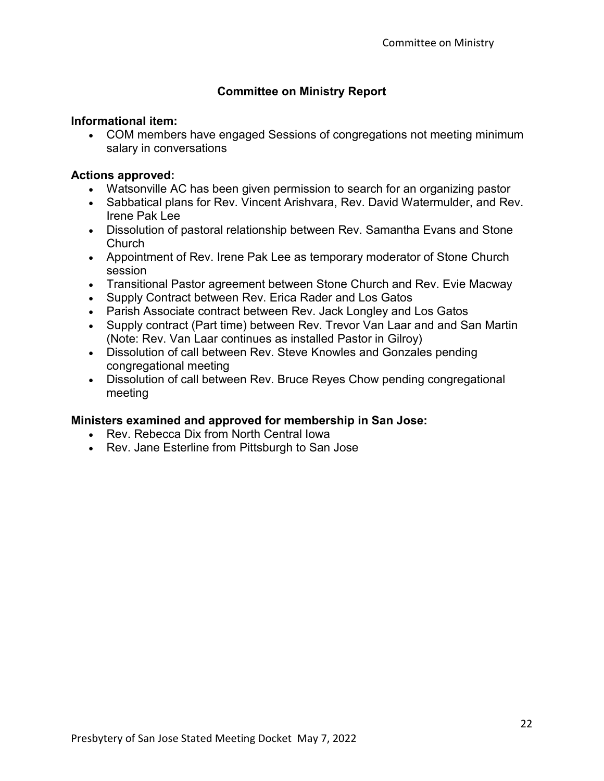# **Committee on Ministry Report**

### **Informational item:**

• COM members have engaged Sessions of congregations not meeting minimum salary in conversations

## **Actions approved:**

- Watsonville AC has been given permission to search for an organizing pastor
- Sabbatical plans for Rev. Vincent Arishvara, Rev. David Watermulder, and Rev. Irene Pak Lee
- Dissolution of pastoral relationship between Rev. Samantha Evans and Stone **Church**
- Appointment of Rev. Irene Pak Lee as temporary moderator of Stone Church session
- Transitional Pastor agreement between Stone Church and Rev. Evie Macway
- Supply Contract between Rev. Erica Rader and Los Gatos
- Parish Associate contract between Rev. Jack Longley and Los Gatos
- Supply contract (Part time) between Rev. Trevor Van Laar and and San Martin (Note: Rev. Van Laar continues as installed Pastor in Gilroy)
- Dissolution of call between Rev. Steve Knowles and Gonzales pending congregational meeting
- Dissolution of call between Rev. Bruce Reyes Chow pending congregational meeting

## **Ministers examined and approved for membership in San Jose:**

- Rev. Rebecca Dix from North Central Iowa
- Rev. Jane Esterline from Pittsburgh to San Jose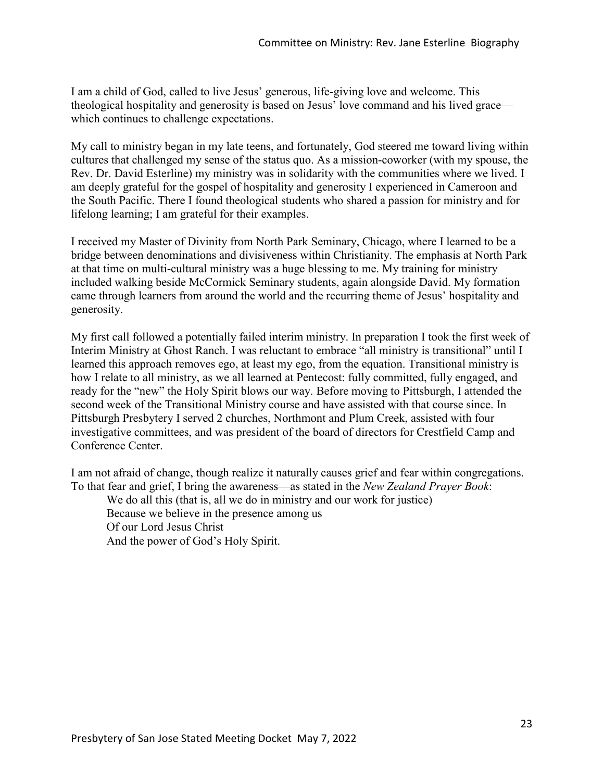I am a child of God, called to live Jesus' generous, life-giving love and welcome. This theological hospitality and generosity is based on Jesus' love command and his lived grace which continues to challenge expectations.

My call to ministry began in my late teens, and fortunately, God steered me toward living within cultures that challenged my sense of the status quo. As a mission-coworker (with my spouse, the Rev. Dr. David Esterline) my ministry was in solidarity with the communities where we lived. I am deeply grateful for the gospel of hospitality and generosity I experienced in Cameroon and the South Pacific. There I found theological students who shared a passion for ministry and for lifelong learning; I am grateful for their examples.

I received my Master of Divinity from North Park Seminary, Chicago, where I learned to be a bridge between denominations and divisiveness within Christianity. The emphasis at North Park at that time on multi-cultural ministry was a huge blessing to me. My training for ministry included walking beside McCormick Seminary students, again alongside David. My formation came through learners from around the world and the recurring theme of Jesus' hospitality and generosity.

My first call followed a potentially failed interim ministry. In preparation I took the first week of Interim Ministry at Ghost Ranch. I was reluctant to embrace "all ministry is transitional" until I learned this approach removes ego, at least my ego, from the equation. Transitional ministry is how I relate to all ministry, as we all learned at Pentecost: fully committed, fully engaged, and ready for the "new" the Holy Spirit blows our way. Before moving to Pittsburgh, I attended the second week of the Transitional Ministry course and have assisted with that course since. In Pittsburgh Presbytery I served 2 churches, Northmont and Plum Creek, assisted with four investigative committees, and was president of the board of directors for Crestfield Camp and Conference Center.

I am not afraid of change, though realize it naturally causes grief and fear within congregations. To that fear and grief, I bring the awareness—as stated in the *New Zealand Prayer Book*:

We do all this (that is, all we do in ministry and our work for justice) Because we believe in the presence among us Of our Lord Jesus Christ And the power of God's Holy Spirit.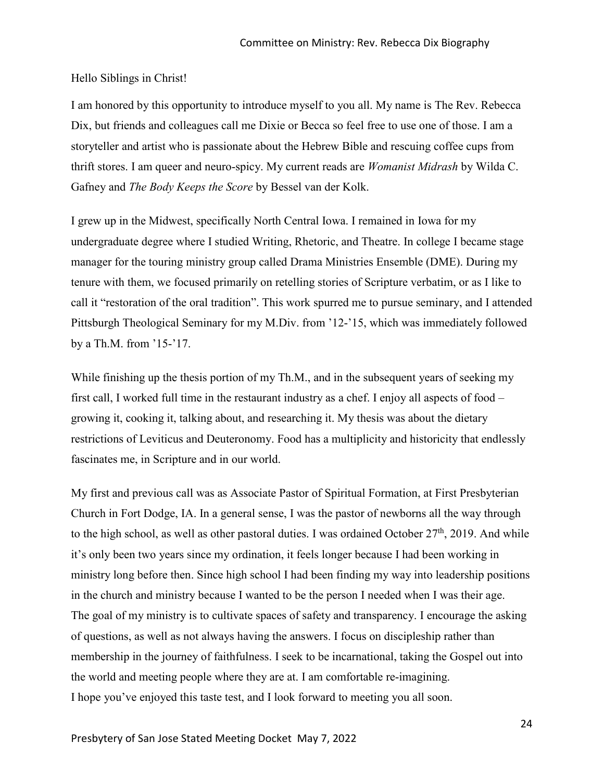#### Hello Siblings in Christ!

I am honored by this opportunity to introduce myself to you all. My name is The Rev. Rebecca Dix, but friends and colleagues call me Dixie or Becca so feel free to use one of those. I am a storyteller and artist who is passionate about the Hebrew Bible and rescuing coffee cups from thrift stores. I am queer and neuro-spicy. My current reads are *Womanist Midrash* by Wilda C. Gafney and *The Body Keeps the Score* by Bessel van der Kolk.

I grew up in the Midwest, specifically North Central Iowa. I remained in Iowa for my undergraduate degree where I studied Writing, Rhetoric, and Theatre. In college I became stage manager for the touring ministry group called Drama Ministries Ensemble (DME). During my tenure with them, we focused primarily on retelling stories of Scripture verbatim, or as I like to call it "restoration of the oral tradition". This work spurred me to pursue seminary, and I attended Pittsburgh Theological Seminary for my M.Div. from '12-'15, which was immediately followed by a Th.M. from '15-'17.

While finishing up the thesis portion of my Th.M., and in the subsequent years of seeking my first call, I worked full time in the restaurant industry as a chef. I enjoy all aspects of food – growing it, cooking it, talking about, and researching it. My thesis was about the dietary restrictions of Leviticus and Deuteronomy. Food has a multiplicity and historicity that endlessly fascinates me, in Scripture and in our world.

My first and previous call was as Associate Pastor of Spiritual Formation, at First Presbyterian Church in Fort Dodge, IA. In a general sense, I was the pastor of newborns all the way through to the high school, as well as other pastoral duties. I was ordained October  $27<sup>th</sup>$ , 2019. And while it's only been two years since my ordination, it feels longer because I had been working in ministry long before then. Since high school I had been finding my way into leadership positions in the church and ministry because I wanted to be the person I needed when I was their age. The goal of my ministry is to cultivate spaces of safety and transparency. I encourage the asking of questions, as well as not always having the answers. I focus on discipleship rather than membership in the journey of faithfulness. I seek to be incarnational, taking the Gospel out into the world and meeting people where they are at. I am comfortable re-imagining. I hope you've enjoyed this taste test, and I look forward to meeting you all soon.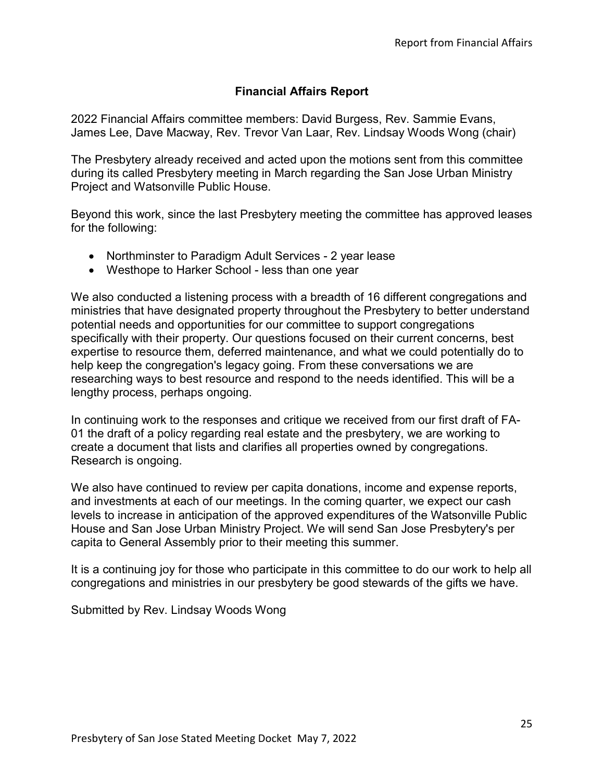# **Financial Affairs Report**

2022 Financial Affairs committee members: David Burgess, Rev. Sammie Evans, James Lee, Dave Macway, Rev. Trevor Van Laar, Rev. Lindsay Woods Wong (chair)

The Presbytery already received and acted upon the motions sent from this committee during its called Presbytery meeting in March regarding the San Jose Urban Ministry Project and Watsonville Public House.

Beyond this work, since the last Presbytery meeting the committee has approved leases for the following:

- Northminster to Paradigm Adult Services 2 year lease
- Westhope to Harker School less than one year

We also conducted a listening process with a breadth of 16 different congregations and ministries that have designated property throughout the Presbytery to better understand potential needs and opportunities for our committee to support congregations specifically with their property. Our questions focused on their current concerns, best expertise to resource them, deferred maintenance, and what we could potentially do to help keep the congregation's legacy going. From these conversations we are researching ways to best resource and respond to the needs identified. This will be a lengthy process, perhaps ongoing.

In continuing work to the responses and critique we received from our first draft of FA-01 the draft of a policy regarding real estate and the presbytery, we are working to create a document that lists and clarifies all properties owned by congregations. Research is ongoing.

We also have continued to review per capita donations, income and expense reports, and investments at each of our meetings. In the coming quarter, we expect our cash levels to increase in anticipation of the approved expenditures of the Watsonville Public House and San Jose Urban Ministry Project. We will send San Jose Presbytery's per capita to General Assembly prior to their meeting this summer.

It is a continuing joy for those who participate in this committee to do our work to help all congregations and ministries in our presbytery be good stewards of the gifts we have.

Submitted by Rev. Lindsay Woods Wong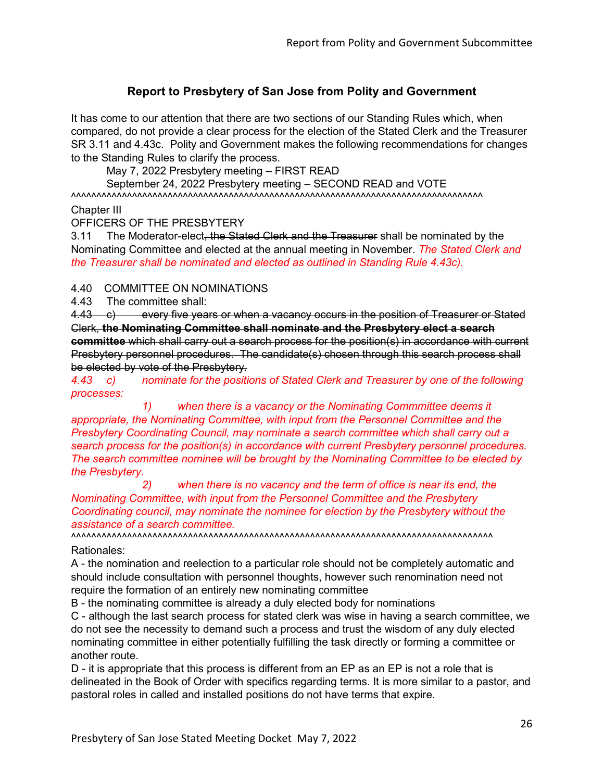# **Report to Presbytery of San Jose from Polity and Government**

It has come to our attention that there are two sections of our Standing Rules which, when compared, do not provide a clear process for the election of the Stated Clerk and the Treasurer SR 3.11 and 4.43c. Polity and Government makes the following recommendations for changes to the Standing Rules to clarify the process.

May 7, 2022 Presbytery meeting – FIRST READ

September 24, 2022 Presbytery meeting – SECOND READ and VOTE ^^^^^^^^^^^^^^^^^^^^^^^^^^^^^^^^^^^^^^^^^^^^^^^^^^^^^^^^^^^^^^^^^^^^^^^^^^^^^^^^^

Chapter III

OFFICERS OF THE PRESBYTERY

3.11 The Moderator-elect, the Stated Clerk and the Treasurer shall be nominated by the Nominating Committee and elected at the annual meeting in November. *The Stated Clerk and the Treasurer shall be nominated and elected as outlined in Standing Rule 4.43c).*

#### 4.40 COMMITTEE ON NOMINATIONS

4.43 The committee shall:

4.43 c) every five years or when a vacancy occurs in the position of Treasurer or Stated Clerk, **the Nominating Committee shall nominate and the Presbytery elect a search committee** which shall carry out a search process for the position(s) in accordance with current Presbytery personnel procedures. The candidate(s) chosen through this search process shall be elected by vote of the Presbytery.

*4.43 c) nominate for the positions of Stated Clerk and Treasurer by one of the following processes:*

*1) when there is a vacancy or the Nominating Commmittee deems it appropriate, the Nominating Committee, with input from the Personnel Committee and the Presbytery Coordinating Council, may nominate a search committee which shall carry out a search process for the position(s) in accordance with current Presbytery personnel procedures. The search committee nominee will be brought by the Nominating Committee to be elected by the Presbytery.*

*2) when there is no vacancy and the term of office is near its end, the Nominating Committee, with input from the Personnel Committee and the Presbytery Coordinating council, may nominate the nominee for election by the Presbytery without the assistance of a search committee.*

^^^^^^^^^^^^^^^^^^^^^^^^^^^^^^^^^^^^^^^^^^^^^^^^^^^^^^^^^^^^^^^^^^^^^^^^^^^^^^^^^^^ Rationales:

A - the nomination and reelection to a particular role should not be completely automatic and should include consultation with personnel thoughts, however such renomination need not require the formation of an entirely new nominating committee

B - the nominating committee is already a duly elected body for nominations

C - although the last search process for stated clerk was wise in having a search committee, we do not see the necessity to demand such a process and trust the wisdom of any duly elected nominating committee in either potentially fulfilling the task directly or forming a committee or another route.

D - it is appropriate that this process is different from an EP as an EP is not a role that is delineated in the Book of Order with specifics regarding terms. It is more similar to a pastor, and pastoral roles in called and installed positions do not have terms that expire.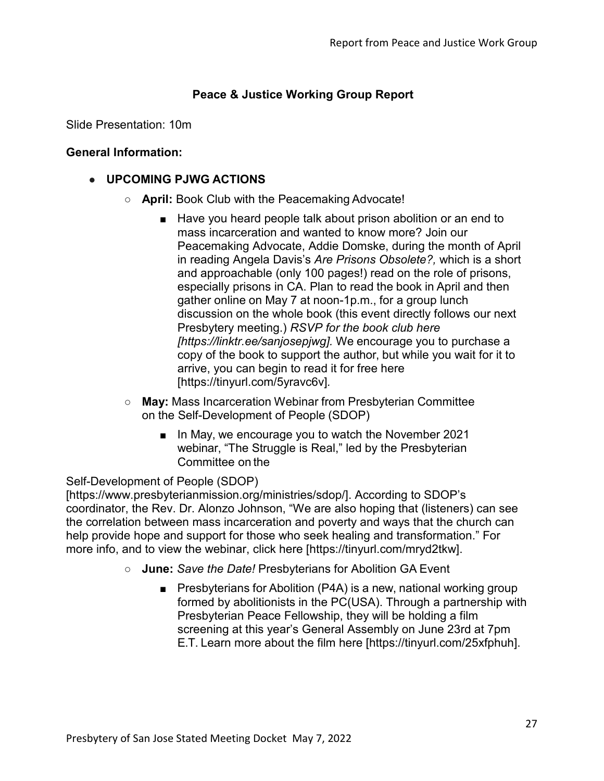# **Peace & Justice Working Group Report**

Slide Presentation: 10m

### **General Information:**

# **● UPCOMING PJWG ACTIONS**

- **April:** Book Club with the Peacemaking Advocate!
	- Have you heard people talk about prison abolition or an end to mass incarceration and wanted to know more? Join our Peacemaking Advocate, Addie Domske, during the month of April in reading Angela Davis's *Are Prisons Obsolete?,* which is a short and approachable (only 100 pages!) read on the role of prisons, especially prisons in CA. Plan to read the book in April and then gather online on May 7 at noon-1p.m., for a group lunch discussion on the whole book (this event directly follows our next Presbytery meeting.) *RSVP for the book club here [https://linktr.ee/sanjosepjwg].* We encourage you to purchase a copy of the book to support the author, but while you wait for it to arrive, you can begin to read it for free here [https://tinyurl.com/5yravc6v]*.*
- **May:** Mass Incarceration Webinar from Presbyterian Committee on the Self-Development of People (SDOP)
	- In May, we encourage you to watch the November 2021 webinar, "The Struggle is Real," led by the Presbyterian Committee on the

## Self-Development of People (SDOP)

[https:/[/www.presbyterianmission.org/ministries/sdop/\]](http://www.presbyterianmission.org/ministries/sdop/). According to SDOP's coordinator, the Rev. Dr. Alonzo Johnson, "We are also hoping that (listeners) can see the correlation between mass incarceration and poverty and ways that the church can help provide hope and support for those who seek healing and transformation." For more info, and to view the webinar, click here [https://tinyurl.com/mryd2tkw].

- **June:** *Save the Date!* Presbyterians for Abolition GA Event
	- Presbyterians for Abolition (P4A) is a new, national working group formed by abolitionists in the PC(USA). Through a partnership with Presbyterian Peace Fellowship, they will be holding a film screening at this year's General Assembly on June 23rd at 7pm E.T. Learn more about the film here [https://tinyurl.com/25xfphuh].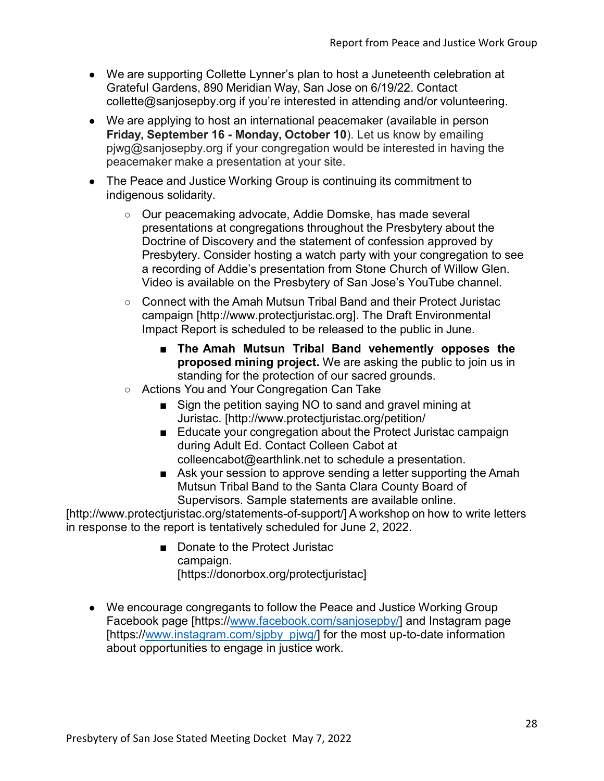- We are supporting Collette Lynner's plan to host a Juneteenth celebration at Grateful Gardens, 890 Meridian Way, San Jose on 6/19/22. Contact [collette@sanjosepby.org](mailto:collette@sanjosepby.org) if you're interested in attending and/or volunteering.
- We are applying to host an international peacemaker (available in person **Friday, September 16 - Monday, October 10**). Let us know by emailing [pjwg@sanjosepby.org](mailto:pjwg@sanjosepby.org) if your congregation would be interested in having the peacemaker make a presentation at your site.
- The Peace and Justice Working Group is continuing its commitment to indigenous solidarity.
	- Our peacemaking advocate, Addie Domske, has made several presentations at congregations throughout the Presbytery about the Doctrine of Discovery and the statement of confession approved by Presbytery. Consider hosting a watch party with your congregation to see a recording of Addie's presentation from Stone Church of Willow Glen. Video is available on the Presbytery of San Jose's YouTube channel.
	- Connect with the Amah Mutsun Tribal Band and their Protect Juristac campaign [\[http://www.protectjuristac.org\]](http://www.protectjuristac.org/). The Draft Environmental Impact Report is scheduled to be released to the public in June.
		- **The Amah Mutsun Tribal Band vehemently opposes the proposed mining project.** We are asking the public to join us in standing for the protection of our sacred grounds.
	- Actions You and Your Congregation Can Take
		- Sign the petition saying NO to sand and gravel mining at Juristac. [\[http://www.protectjuristac.org/petition/](http://www.protectjuristac.org/petition/)
		- Educate your congregation about the Protect Juristac campaign during Adult Ed. Contact Colleen Cabot at [colleencabot@earthlink.net t](mailto:colleencabot@earthlink.net)o schedule a presentation.
		- Ask your session to approve sending a letter supporting the Amah Mutsun Tribal Band to the Santa Clara County Board of Supervisors. Sample statements are available online.

[\[http://www.protectjuristac.org/statements-of-support/\]](http://www.protectjuristac.org/statements-of-support/) A workshop on how to write letters in response to the report is tentatively scheduled for June 2, 2022.

- Donate to the Protect Juristac campaign. [https://donorbox.org/protectjuristac]
- We encourage congregants to follow the Peace and Justice Working Group Facebook page [https:/[/www.facebook.com/sanjosepby/\]](http://www.facebook.com/sanjosepby/) and Instagram page [https:/[/www.instagram.com/sjpby\\_pjwg/\]](http://www.instagram.com/sjpby_pjwg/) for the most up-to-date information about opportunities to engage in justice work.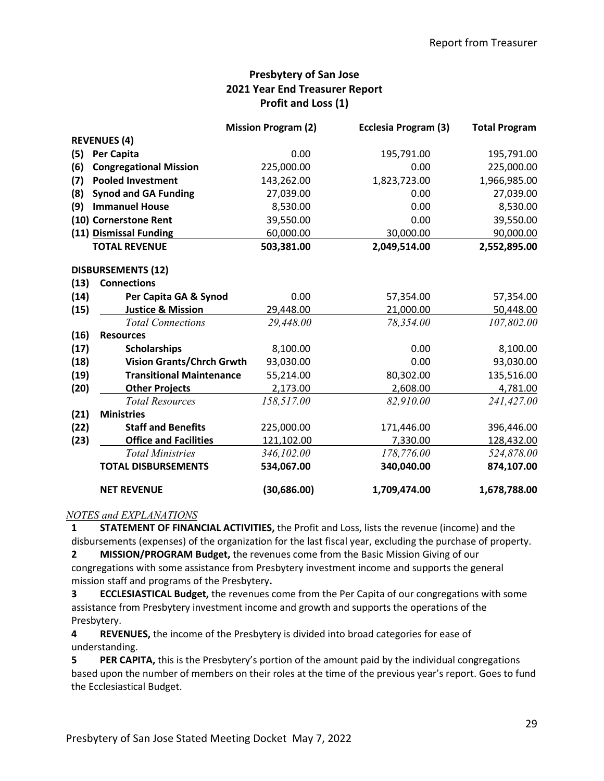## **Presbytery of San Jose 2021 Year End Treasurer Report Profit and Loss (1)**

|      |                                  | <b>Mission Program (2)</b> | Ecclesia Program (3) | <b>Total Program</b> |
|------|----------------------------------|----------------------------|----------------------|----------------------|
|      | <b>REVENUES (4)</b>              |                            |                      |                      |
| (5)  | Per Capita                       | 0.00                       | 195,791.00           | 195,791.00           |
| (6)  | <b>Congregational Mission</b>    | 225,000.00                 | 0.00                 | 225,000.00           |
| (7)  | <b>Pooled Investment</b>         | 143,262.00                 | 1,823,723.00         | 1,966,985.00         |
| (8)  | <b>Synod and GA Funding</b>      | 27,039.00                  | 0.00                 | 27,039.00            |
| (9)  | <b>Immanuel House</b>            | 8,530.00                   | 0.00                 | 8,530.00             |
|      | (10) Cornerstone Rent            | 39,550.00                  | 0.00                 | 39,550.00            |
|      | (11) Dismissal Funding           | 60,000.00                  | 30,000.00            | 90,000.00            |
|      | <b>TOTAL REVENUE</b>             | 503,381.00                 | 2,049,514.00         | 2,552,895.00         |
|      | <b>DISBURSEMENTS (12)</b>        |                            |                      |                      |
| (13) | <b>Connections</b>               |                            |                      |                      |
| (14) | Per Capita GA & Synod            | 0.00                       | 57,354.00            | 57,354.00            |
| (15) | <b>Justice &amp; Mission</b>     | 29,448.00                  | 21,000.00            | 50,448.00            |
|      | <b>Total Connections</b>         | 29,448.00                  | 78,354.00            | 107,802.00           |
| (16) | <b>Resources</b>                 |                            |                      |                      |
| (17) | <b>Scholarships</b>              | 8,100.00                   | 0.00                 | 8,100.00             |
| (18) | <b>Vision Grants/Chrch Grwth</b> | 93,030.00                  | 0.00                 | 93,030.00            |
| (19) | <b>Transitional Maintenance</b>  | 55,214.00                  | 80,302.00            | 135,516.00           |
| (20) | <b>Other Projects</b>            | 2,173.00                   | 2,608.00             | 4,781.00             |
|      | <b>Total Resources</b>           | 158,517.00                 | 82,910.00            | 241,427.00           |
| (21) | <b>Ministries</b>                |                            |                      |                      |
| (22) | <b>Staff and Benefits</b>        | 225,000.00                 | 171,446.00           | 396,446.00           |
| (23) | <b>Office and Facilities</b>     | 121,102.00                 | 7,330.00             | 128,432.00           |
|      | <b>Total Ministries</b>          | 346,102.00                 | 178,776.00           | 524,878.00           |
|      | <b>TOTAL DISBURSEMENTS</b>       | 534,067.00                 | 340,040.00           | 874,107.00           |
|      | <b>NET REVENUE</b>               | (30, 686.00)               | 1,709,474.00         | 1,678,788.00         |

#### *NOTES and EXPLANATIONS*

**1 STATEMENT OF FINANCIAL ACTIVITIES,** the Profit and Loss, lists the revenue (income) and the disbursements (expenses) of the organization for the last fiscal year, excluding the purchase of property.

**2 MISSION/PROGRAM Budget,** the revenues come from the Basic Mission Giving of our congregations with some assistance from Presbytery investment income and supports the general mission staff and programs of the Presbytery**.** 

**3 ECCLESIASTICAL Budget,** the revenues come from the Per Capita of our congregations with some assistance from Presbytery investment income and growth and supports the operations of the Presbytery.

**4 REVENUES,** the income of the Presbytery is divided into broad categories for ease of understanding.

**5 PER CAPITA,** this is the Presbytery's portion of the amount paid by the individual congregations based upon the number of members on their roles at the time of the previous year's report. Goes to fund the Ecclesiastical Budget.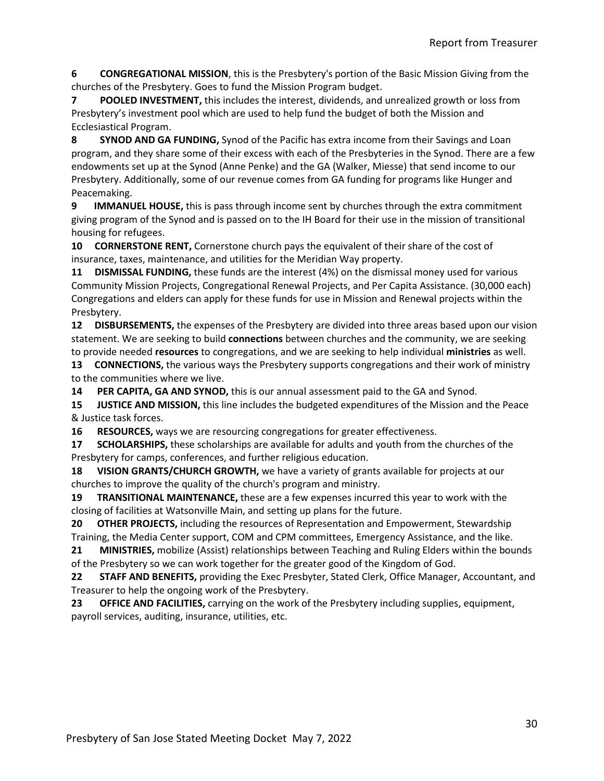**6 CONGREGATIONAL MISSION**, this is the Presbytery's portion of the Basic Mission Giving from the churches of the Presbytery. Goes to fund the Mission Program budget.

**7 POOLED INVESTMENT,** this includes the interest, dividends, and unrealized growth or loss from Presbytery's investment pool which are used to help fund the budget of both the Mission and Ecclesiastical Program.

**8 SYNOD AND GA FUNDING,** Synod of the Pacific has extra income from their Savings and Loan program, and they share some of their excess with each of the Presbyteries in the Synod. There are a few endowments set up at the Synod (Anne Penke) and the GA (Walker, Miesse) that send income to our Presbytery. Additionally, some of our revenue comes from GA funding for programs like Hunger and Peacemaking.

**9 IMMANUEL HOUSE,** this is pass through income sent by churches through the extra commitment giving program of the Synod and is passed on to the IH Board for their use in the mission of transitional housing for refugees.

**10 CORNERSTONE RENT,** Cornerstone church pays the equivalent of their share of the cost of insurance, taxes, maintenance, and utilities for the Meridian Way property.

**11 DISMISSAL FUNDING,** these funds are the interest (4%) on the dismissal money used for various Community Mission Projects, Congregational Renewal Projects, and Per Capita Assistance. (30,000 each) Congregations and elders can apply for these funds for use in Mission and Renewal projects within the Presbytery.

**12 DISBURSEMENTS,** the expenses of the Presbytery are divided into three areas based upon our vision statement. We are seeking to build **connections** between churches and the community, we are seeking to provide needed **resources** to congregations, and we are seeking to help individual **ministries** as well.

**13 CONNECTIONS,** the various ways the Presbytery supports congregations and their work of ministry to the communities where we live.

**14 PER CAPITA, GA AND SYNOD,** this is our annual assessment paid to the GA and Synod.

**15 JUSTICE AND MISSION,** this line includes the budgeted expenditures of the Mission and the Peace & Justice task forces.

**16 RESOURCES,** ways we are resourcing congregations for greater effectiveness.

**17 SCHOLARSHIPS,** these scholarships are available for adults and youth from the churches of the Presbytery for camps, conferences, and further religious education.

**18 VISION GRANTS/CHURCH GROWTH,** we have a variety of grants available for projects at our churches to improve the quality of the church's program and ministry.

**19 TRANSITIONAL MAINTENANCE,** these are a few expenses incurred this year to work with the closing of facilities at Watsonville Main, and setting up plans for the future.

**20 OTHER PROJECTS,** including the resources of Representation and Empowerment, Stewardship Training, the Media Center support, COM and CPM committees, Emergency Assistance, and the like.

**21 MINISTRIES,** mobilize (Assist) relationships between Teaching and Ruling Elders within the bounds of the Presbytery so we can work together for the greater good of the Kingdom of God.

**22 STAFF AND BENEFITS,** providing the Exec Presbyter, Stated Clerk, Office Manager, Accountant, and Treasurer to help the ongoing work of the Presbytery.

**23 OFFICE AND FACILITIES,** carrying on the work of the Presbytery including supplies, equipment, payroll services, auditing, insurance, utilities, etc.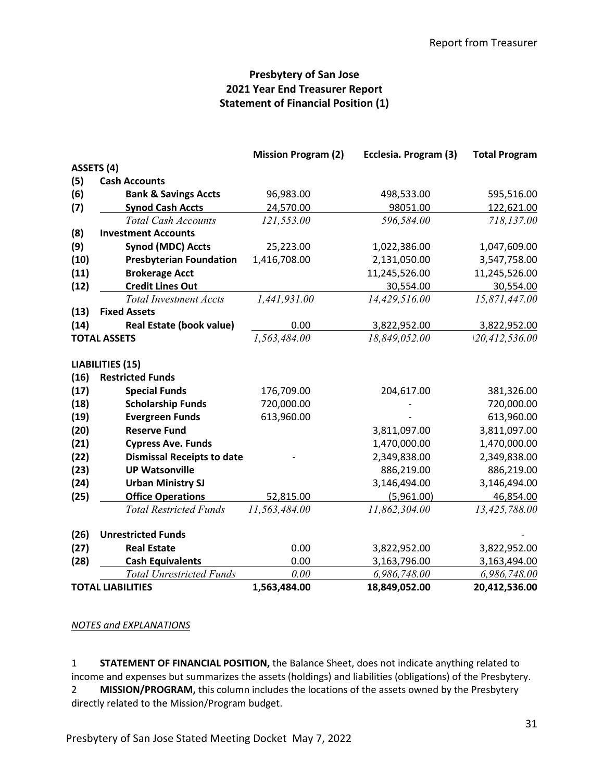## **Presbytery of San Jose 2021 Year End Treasurer Report Statement of Financial Position (1)**

|            |                                   | <b>Mission Program (2)</b> | Ecclesia. Program (3) | <b>Total Program</b> |
|------------|-----------------------------------|----------------------------|-----------------------|----------------------|
| ASSETS (4) |                                   |                            |                       |                      |
| (5)        | <b>Cash Accounts</b>              |                            |                       |                      |
| (6)        | <b>Bank &amp; Savings Accts</b>   | 96,983.00                  | 498,533.00            | 595,516.00           |
| (7)        | <b>Synod Cash Accts</b>           | 24,570.00                  | 98051.00              | 122,621.00           |
|            | <b>Total Cash Accounts</b>        | 121,553.00                 | 596,584.00            | 718,137.00           |
| (8)        | <b>Investment Accounts</b>        |                            |                       |                      |
| (9)        | <b>Synod (MDC) Accts</b>          | 25,223.00                  | 1,022,386.00          | 1,047,609.00         |
| (10)       | <b>Presbyterian Foundation</b>    | 1,416,708.00               | 2,131,050.00          | 3,547,758.00         |
| (11)       | <b>Brokerage Acct</b>             |                            | 11,245,526.00         | 11,245,526.00        |
| (12)       | <b>Credit Lines Out</b>           |                            | 30,554.00             | 30,554.00            |
|            | <b>Total Investment Accts</b>     | 1,441,931.00               | 14,429,516.00         | 15,871,447.00        |
| (13)       | <b>Fixed Assets</b>               |                            |                       |                      |
| (14)       | <b>Real Estate (book value)</b>   | 0.00                       | 3,822,952.00          | 3,822,952.00         |
|            | <b>TOTAL ASSETS</b>               | 1,563,484.00               | 18,849,052.00         | 120,412,536.00       |
|            | <b>LIABILITIES (15)</b>           |                            |                       |                      |
| (16)       | <b>Restricted Funds</b>           |                            |                       |                      |
| (17)       | <b>Special Funds</b>              | 176,709.00                 | 204,617.00            | 381,326.00           |
| (18)       | <b>Scholarship Funds</b>          | 720,000.00                 |                       | 720,000.00           |
| (19)       | <b>Evergreen Funds</b>            | 613,960.00                 |                       | 613,960.00           |
| (20)       | <b>Reserve Fund</b>               |                            | 3,811,097.00          | 3,811,097.00         |
| (21)       | <b>Cypress Ave. Funds</b>         |                            | 1,470,000.00          | 1,470,000.00         |
| (22)       | <b>Dismissal Receipts to date</b> |                            | 2,349,838.00          | 2,349,838.00         |
| (23)       | <b>UP Watsonville</b>             |                            | 886,219.00            | 886,219.00           |
| (24)       | <b>Urban Ministry SJ</b>          |                            | 3,146,494.00          | 3,146,494.00         |
| (25)       | <b>Office Operations</b>          | 52,815.00                  | (5,961.00)            | 46,854.00            |
|            | <b>Total Restricted Funds</b>     | 11,563,484.00              | 11,862,304.00         | 13,425,788.00        |
| (26)       | <b>Unrestricted Funds</b>         |                            |                       |                      |
| (27)       | <b>Real Estate</b>                | 0.00                       | 3,822,952.00          | 3,822,952.00         |
| (28)       | <b>Cash Equivalents</b>           | 0.00                       | 3,163,796.00          | 3,163,494.00         |
|            | <b>Total Unrestricted Funds</b>   | 0.00                       | 6,986,748.00          | 6,986,748.00         |
|            | <b>TOTAL LIABILITIES</b>          | 1,563,484.00               | 18,849,052.00         | 20,412,536.00        |

#### *NOTES and EXPLANATIONS*

1 **STATEMENT OF FINANCIAL POSITION,** the Balance Sheet, does not indicate anything related to income and expenses but summarizes the assets (holdings) and liabilities (obligations) of the Presbytery. 2 **MISSION/PROGRAM,** this column includes the locations of the assets owned by the Presbytery directly related to the Mission/Program budget.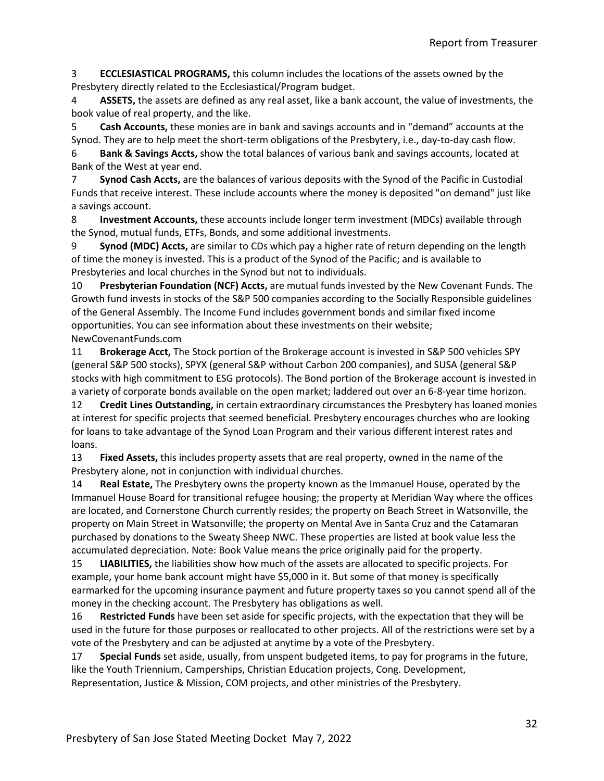3 **ECCLESIASTICAL PROGRAMS,** this column includes the locations of the assets owned by the Presbytery directly related to the Ecclesiastical/Program budget.

4 **ASSETS,** the assets are defined as any real asset, like a bank account, the value of investments, the book value of real property, and the like.

5 **Cash Accounts,** these monies are in bank and savings accounts and in "demand" accounts at the Synod. They are to help meet the short-term obligations of the Presbytery, i.e., day-to-day cash flow.

6 **Bank & Savings Accts,** show the total balances of various bank and savings accounts, located at Bank of the West at year end.

7 **Synod Cash Accts,** are the balances of various deposits with the Synod of the Pacific in Custodial Funds that receive interest. These include accounts where the money is deposited "on demand" just like a savings account.

8 **Investment Accounts,** these accounts include longer term investment (MDCs) available through the Synod, mutual funds, ETFs, Bonds, and some additional investments.

9 **Synod (MDC) Accts,** are similar to CDs which pay a higher rate of return depending on the length of time the money is invested. This is a product of the Synod of the Pacific; and is available to Presbyteries and local churches in the Synod but not to individuals.

10 **Presbyterian Foundation (NCF) Accts,** are mutual funds invested by the New Covenant Funds. The Growth fund invests in stocks of the S&P 500 companies according to the Socially Responsible guidelines of the General Assembly. The Income Fund includes government bonds and similar fixed income opportunities. You can see information about these investments on their website; NewCovenantFunds.com

11 **Brokerage Acct,** The Stock portion of the Brokerage account is invested in S&P 500 vehicles SPY (general S&P 500 stocks), SPYX (general S&P without Carbon 200 companies), and SUSA (general S&P stocks with high commitment to ESG protocols). The Bond portion of the Brokerage account is invested in a variety of corporate bonds available on the open market; laddered out over an 6-8-year time horizon.

12 **Credit Lines Outstanding,** in certain extraordinary circumstances the Presbytery has loaned monies at interest for specific projects that seemed beneficial. Presbytery encourages churches who are looking for loans to take advantage of the Synod Loan Program and their various different interest rates and loans.

13 **Fixed Assets,** this includes property assets that are real property, owned in the name of the Presbytery alone, not in conjunction with individual churches.

14 **Real Estate,** The Presbytery owns the property known as the Immanuel House, operated by the Immanuel House Board for transitional refugee housing; the property at Meridian Way where the offices are located, and Cornerstone Church currently resides; the property on Beach Street in Watsonville, the property on Main Street in Watsonville; the property on Mental Ave in Santa Cruz and the Catamaran purchased by donations to the Sweaty Sheep NWC. These properties are listed at book value less the accumulated depreciation. Note: Book Value means the price originally paid for the property.

15 **LIABILITIES,** the liabilities show how much of the assets are allocated to specific projects. For example, your home bank account might have \$5,000 in it. But some of that money is specifically earmarked for the upcoming insurance payment and future property taxes so you cannot spend all of the money in the checking account. The Presbytery has obligations as well.

16 **Restricted Funds** have been set aside for specific projects, with the expectation that they will be used in the future for those purposes or reallocated to other projects. All of the restrictions were set by a vote of the Presbytery and can be adjusted at anytime by a vote of the Presbytery.

17 **Special Funds** set aside, usually, from unspent budgeted items, to pay for programs in the future, like the Youth Triennium, Camperships, Christian Education projects, Cong. Development, Representation, Justice & Mission, COM projects, and other ministries of the Presbytery.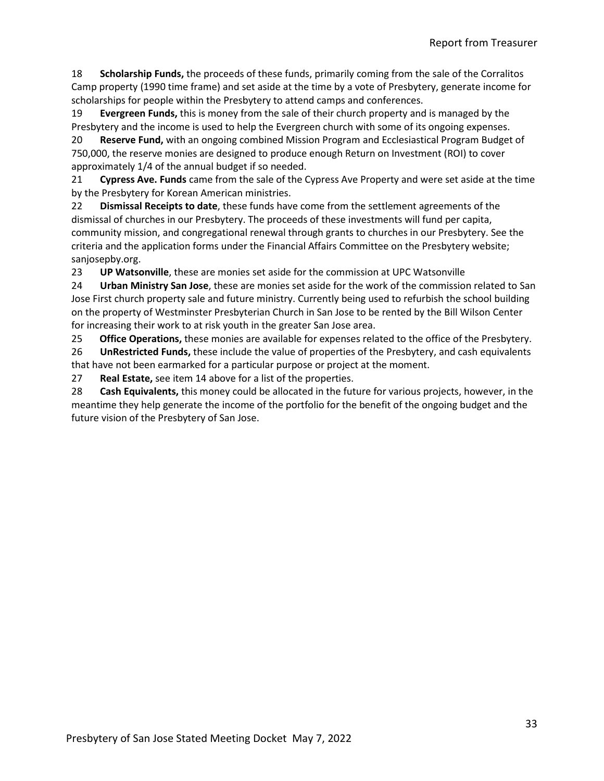18 **Scholarship Funds,** the proceeds of these funds, primarily coming from the sale of the Corralitos Camp property (1990 time frame) and set aside at the time by a vote of Presbytery, generate income for scholarships for people within the Presbytery to attend camps and conferences.

19 **Evergreen Funds,** this is money from the sale of their church property and is managed by the Presbytery and the income is used to help the Evergreen church with some of its ongoing expenses.

20 **Reserve Fund,** with an ongoing combined Mission Program and Ecclesiastical Program Budget of 750,000, the reserve monies are designed to produce enough Return on Investment (ROI) to cover approximately 1/4 of the annual budget if so needed.

21 **Cypress Ave. Funds** came from the sale of the Cypress Ave Property and were set aside at the time by the Presbytery for Korean American ministries.

22 **Dismissal Receipts to date**, these funds have come from the settlement agreements of the dismissal of churches in our Presbytery. The proceeds of these investments will fund per capita, community mission, and congregational renewal through grants to churches in our Presbytery. See the criteria and the application forms under the Financial Affairs Committee on the Presbytery website; sanjosepby.org.

23 **UP Watsonville**, these are monies set aside for the commission at UPC Watsonville

24 **Urban Ministry San Jose**, these are monies set aside for the work of the commission related to San Jose First church property sale and future ministry. Currently being used to refurbish the school building on the property of Westminster Presbyterian Church in San Jose to be rented by the Bill Wilson Center for increasing their work to at risk youth in the greater San Jose area.

25 **Office Operations,** these monies are available for expenses related to the office of the Presbytery.

26 **UnRestricted Funds,** these include the value of properties of the Presbytery, and cash equivalents that have not been earmarked for a particular purpose or project at the moment.

27 **Real Estate,** see item 14 above for a list of the properties.

28 **Cash Equivalents,** this money could be allocated in the future for various projects, however, in the meantime they help generate the income of the portfolio for the benefit of the ongoing budget and the future vision of the Presbytery of San Jose.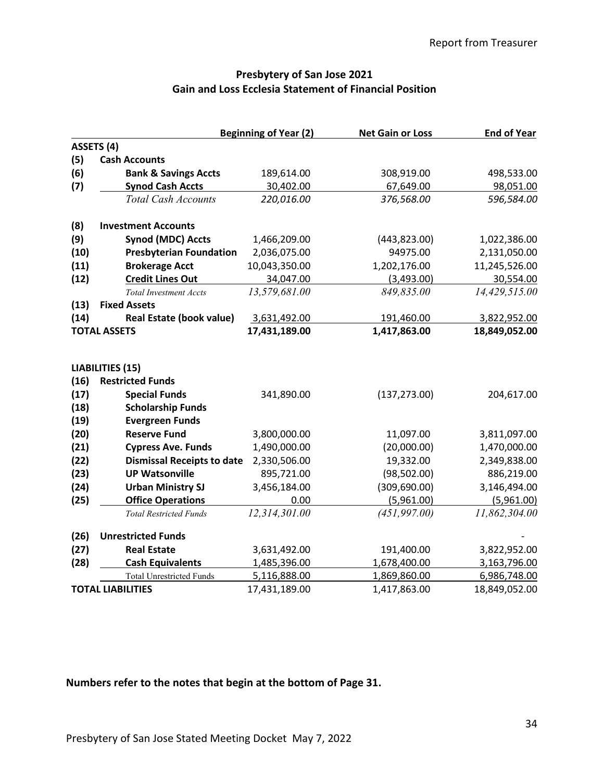## **Presbytery of San Jose 2021 Gain and Loss Ecclesia Statement of Financial Position**

|      |                                                    | <b>Beginning of Year (2)</b> | <b>Net Gain or Loss</b> | <b>End of Year</b> |
|------|----------------------------------------------------|------------------------------|-------------------------|--------------------|
|      | ASSETS (4)                                         |                              |                         |                    |
| (5)  | <b>Cash Accounts</b>                               |                              |                         |                    |
| (6)  | <b>Bank &amp; Savings Accts</b>                    | 189,614.00                   | 308,919.00              | 498,533.00         |
| (7)  | <b>Synod Cash Accts</b>                            | 30,402.00                    | 67,649.00               | 98,051.00          |
|      | <b>Total Cash Accounts</b>                         | 220,016.00                   | 376,568.00              | 596,584.00         |
| (8)  | <b>Investment Accounts</b>                         |                              |                         |                    |
| (9)  | <b>Synod (MDC) Accts</b>                           | 1,466,209.00                 | (443, 823.00)           | 1,022,386.00       |
| (10) | <b>Presbyterian Foundation</b>                     | 2,036,075.00                 | 94975.00                | 2,131,050.00       |
| (11) | <b>Brokerage Acct</b>                              | 10,043,350.00                | 1,202,176.00            | 11,245,526.00      |
| (12) | <b>Credit Lines Out</b>                            | 34,047.00                    | (3,493.00)              | 30,554.00          |
|      | <b>Total Investment Accts</b>                      | 13,579,681.00                | 849,835.00              | 14,429,515.00      |
| (13) | <b>Fixed Assets</b>                                |                              |                         |                    |
| (14) | <b>Real Estate (book value)</b>                    | 3,631,492.00                 | 191,460.00              | 3,822,952.00       |
|      | <b>TOTAL ASSETS</b>                                | 17,431,189.00                | 1,417,863.00            | 18,849,052.00      |
| (16) | <b>LIABILITIES (15)</b><br><b>Restricted Funds</b> |                              |                         |                    |
| (17) | <b>Special Funds</b>                               | 341,890.00                   | (137, 273.00)           | 204,617.00         |
| (18) | <b>Scholarship Funds</b>                           |                              |                         |                    |
| (19) | <b>Evergreen Funds</b>                             |                              |                         |                    |
| (20) | <b>Reserve Fund</b>                                | 3,800,000.00                 | 11,097.00               | 3,811,097.00       |
| (21) | <b>Cypress Ave. Funds</b>                          | 1,490,000.00                 | (20,000.00)             | 1,470,000.00       |
| (22) | <b>Dismissal Receipts to date</b>                  | 2,330,506.00                 | 19,332.00               | 2,349,838.00       |
| (23) | <b>UP Watsonville</b>                              | 895,721.00                   | (98, 502.00)            | 886,219.00         |
| (24) | <b>Urban Ministry SJ</b>                           | 3,456,184.00                 | (309, 690.00)           | 3,146,494.00       |
| (25) | <b>Office Operations</b>                           | 0.00                         | (5,961.00)              | (5,961.00)         |
|      | <b>Total Restricted Funds</b>                      | 12,314,301.00                | (451, 997.00)           | 11,862,304.00      |
| (26) | <b>Unrestricted Funds</b>                          |                              |                         |                    |
| (27) | <b>Real Estate</b>                                 | 3,631,492.00                 | 191,400.00              | 3,822,952.00       |
| (28) | <b>Cash Equivalents</b>                            | 1,485,396.00                 | 1,678,400.00            | 3,163,796.00       |
|      | <b>Total Unrestricted Funds</b>                    | 5,116,888.00                 | 1,869,860.00            | 6,986,748.00       |
|      | <b>TOTAL LIABILITIES</b>                           | 17,431,189.00                | 1,417,863.00            | 18,849,052.00      |

# **Numbers refer to the notes that begin at the bottom of Page 31.**